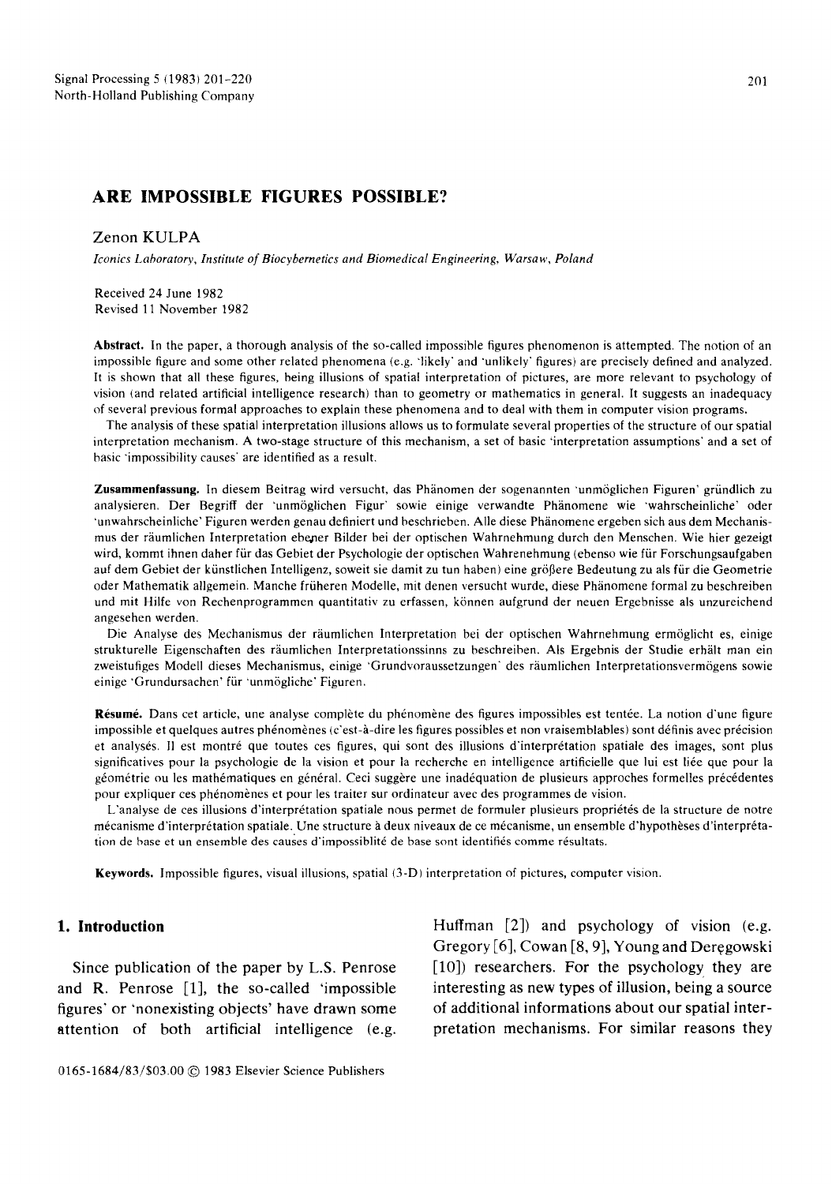# **ARE IMPOSSIBLE FIGURES POSSIBLE?**

#### Zenon KULPA

*Iconics Laboratory, Institute of Biocybernetics and Biomedical Engineering, Warsaw, Poland* 

Received 24 June 1982 Revised 11 November 1982

**Abstract.** In the paper, a thorough analysis of the so-called impossible figures phenomenon is attempted. The notion of an impossible figure and some other related phenomena (e.g. 'likely' and 'unlikely' figures) are precisely defined and analyzed. It is shown that all these figures, being illusions of spatial interpretation of pictures, are more relevant to psychology of vision (and related artificial intelligence research) than to geometry or mathematics in general. It suggests an inadequacy of several previous formal approaches to explain these phenomena and to deal with them in computer vision programs.

The analysis of these spatial interpretation illusions allows us to formulate several properties of the structure of our spatial interpretation mechanism. A two-stage structure of this mechanism, a set of basic 'interpretation assumptions' and a set of basic "impossibility causes' are identified as a result.

Zusammenfassung. In diesem Beitrag wird versucht, das Phänomen der sogenannten 'unmöglichen Figuren' gründlich zu analysieren. Der Begriff der 'unm6glichen Figur' sowie einige verwandte Phiinomene wie "wahrscheinliche' oder 'unwahrscheinliche' Figuren werden genau definiert und beschrieben. Alle diese Phänomene ergeben sich aus dem Mechanismus der räumlichen Interpretation ebener Bilder bei der optischen Wahrnehmung durch den Menschen. Wie hier gezeigt wird, kommt ihnen daher fiir das Gebiet der Psychologie der optischen Wahrenehmung (ebenso wie ffir Forschungsaufgaben auf dem Gebiet der künstlichen Intelligenz, soweit sie damit zu tun haben) eine größere Bedeutung zu als für die Geometrie oder Mathematik allgemein. Manche früheren Modelle, mit denen versucht wurde, diese Phänomene formal zu beschreiben und mit Hilfe von Rechenprogrammen quantitativ zu erfassen, k6nnen aufgrund der neuen Ergebnisse als unzureichend angesehen werden.

Die Analyse des Mechanismus der räumlichen Interpretation bei der optischen Wahrnehmung ermöglicht es, einige strukturelle Eigenschaften des räumlichen Interpretationssinns zu beschreiben. Als Ergebnis der Studie erhält man ein zweistufiges Modell dieses Mechanismus, einige 'Grundvoraussetzungen' des räumlichen Interpretationsvermögens sowie einige 'Grundursachen' für 'unmögliche' Figuren.

Résumé. Dans cet article, une analyse complète du phénomène des figures impossibles est tentée. La notion d'une figure impossible et quelques autres phénomènes (c'est-à-dire les figures possibles et non vraisemblables) sont définis avec précision et analysés. Il est montré que toutes ces figures, qui sont des illusions d'interprétation spatiale des images, sont plus significatives pour la psychologie de la vision et pour la recherche en intelligence artificielle que lui est liée que pour la géométrie ou les mathématiques en général. Ceci suggère une inadéquation de plusieurs approches formelles précédentes pour expliquer ces phénomènes et pour les traiter sur ordinateur avec des programmes de vision.

L'analyse de ces illusions d'interprétation spatiale nous permet de formuler plusieurs propriétés de la structure de notre mécanisme d'interprétation spatiale. Une structure à deux niveaux de ce mécanisme, un ensemble d'hypothèses d'interprétation de base et un ensemble des causes d'impossiblité de base sont identifiés comme résultats.

Keywords, Impossible figures, visual illusions, spatial (3-D) interpretation of pictures, computer vision.

#### **1. Introduction**

Since publication of the paper by L.S. Penrose and R. Penrose [1], the so-called 'impossible figures' or 'nonexisting objects' have drawn some attention of both artificial intelligence (e.g.

Huffman [2]) and psychology of vision (e.g. Gregory [6], Cowan [8, 9], Young and Deregowski [10]) researchers. For the psychology they are interesting as new types of illusion, being a source of additional informations about our spatial interpretation mechanisms. For similar reasons they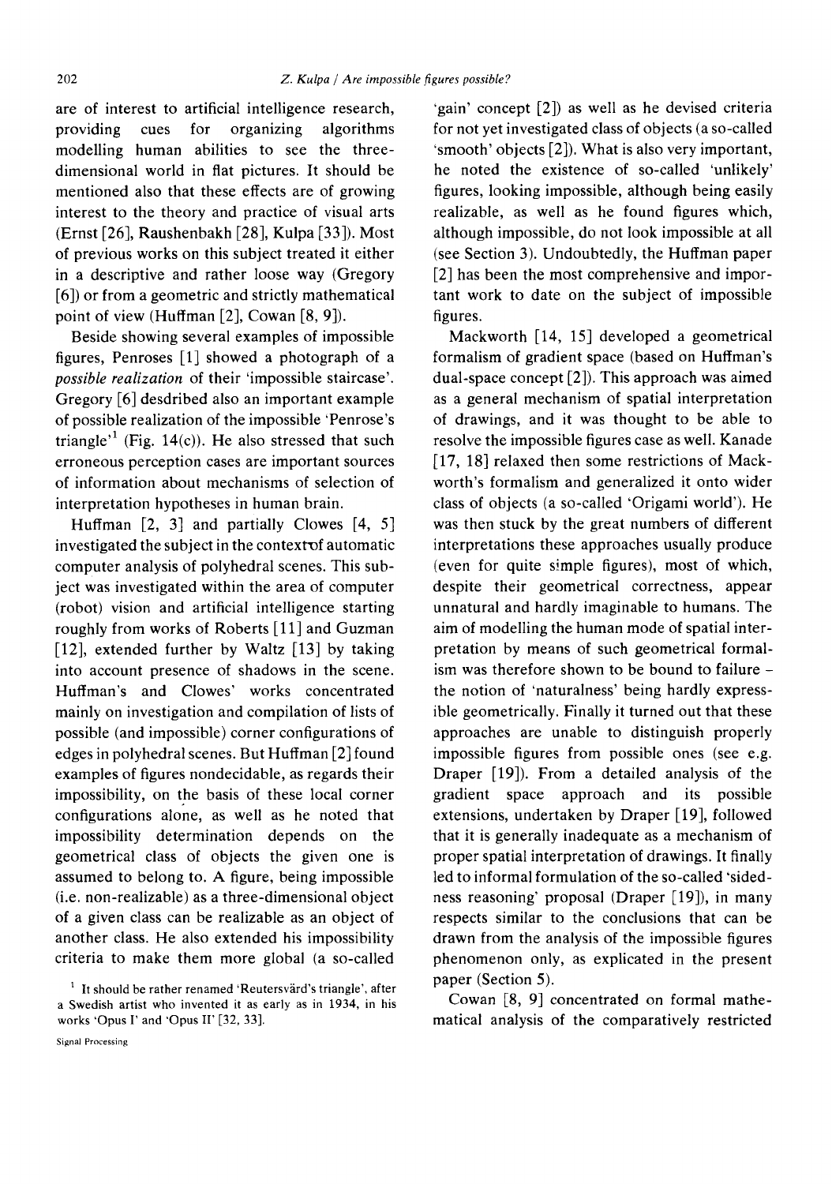are of interest to artificial intelligence research, providing cues for organizing algorithms modelling human abilities to see the threedimensional world in fiat pictures. It should be mentioned also that these effects are of growing interest to the theory and practice of visual arts (Ernst [26], Raushenbakh [28], Kulpa [33]). Most of previous works on this subject treated it either in a descriptive and rather loose way (Gregory [6]) or from a geometric and strictly mathematical point of view (Huffman [2], Cowan [8, 9]).

Beside showing several examples of impossible figures, Penroses [1] showed a photograph of a *possible realization* of their 'impossible staircase'. Gregory [6] desdribed also an important example of possible realization of the impossible 'Penrose's triangle<sup>,1</sup> (Fig. 14(c)). He also stressed that such erroneous perception cases are important sources of information about mechanisms of selection of interpretation hypotheses in human brain.

Huffman [2, 3] and partially Clowes [4, 5] investigated the subject in the context of automatic computer analysis of polyhedral scenes. This subject was investigated within the area of computer (robot) vision and artificial intelligence starting roughly from works of Roberts [11] and Guzman [12], extended further by Waltz [13] by taking into account presence of shadows in the scene. Huffman's and Clowes' works concentrated mainly on investigation and compilation of lists of possible (and impossible) corner configurations of edges in polyhedral scenes. But Huffman [2] found examples of figures nondecidable, as regards their impossibility, on the basis of these local corner configurations alone, as well as he noted that impossibility determination depends on the geometrical class of objects the given one is assumed to belong to. A figure, being impossible (i.e. non-realizable) as a three-dimensional object of a given class can be realizable as an object of another class. He also extended his impossibility criteria to make them more global (a so-called

'gain' concept [2]) as well as he devised criteria for not yet investigated class of objects (a so-called 'smooth' objects [2]). What is also very important, he noted the existence of so-called 'unlikely' figures, looking impossible, although being easily realizable, as well as he found figures which, although impossible, do not look impossible at all (see Section 3). Undoubtedly, the Huffman paper [2] has been the most comprehensive and important work to date on the subject of impossible figures.

Mackworth [14, 15] developed a geometrical formalism of gradient space (based on Huffman's dual-space concept [2]). This approach was aimed as a general mechanism of spatial interpretation of drawings, and it was thought to be able to resolve the impossible figures case as well. Kanade [17, 18] relaxed then some restrictions of Mackworth's formalism and generalized it onto wider class of objects (a so-called 'Origami world'). He was then stuck by the great numbers of different interpretations these approaches usually produce (even for quite simple figures), most of which, despite their geometrical correctness, appear unnatural and hardly imaginable to humans. The aim of modelling the human mode of spatial interpretation by means of such geometrical formalism was therefore shown to be bound to failure the notion of 'naturalness' being hardly expressible geometrically. Finally it turned out that these approaches are unable to distinguish properly impossible figures from possible ones (see e.g. Draper [19]). From a detailed analysis of the gradient space approach and its possible extensions, undertaken by Draper [19], followed that it is generally inadequate as a mechanism of proper spatial interpretation of drawings. It finally led to informal formulation of the so-called 'sidedness reasoning' proposal (Draper [19]), in many respects similar to the conclusions that can be drawn from the analysis of the impossible figures phenomenon only, as explicated in the present paper (Section 5).

Cowan [8, 9] concentrated on formal mathematical analysis of the comparatively restricted

 $1$  It should be rather renamed 'Reutersvärd's triangle', after a Swedish artist who invented it as early as in 1934, in his works 'Opus I' and 'Opus II' [32, 33].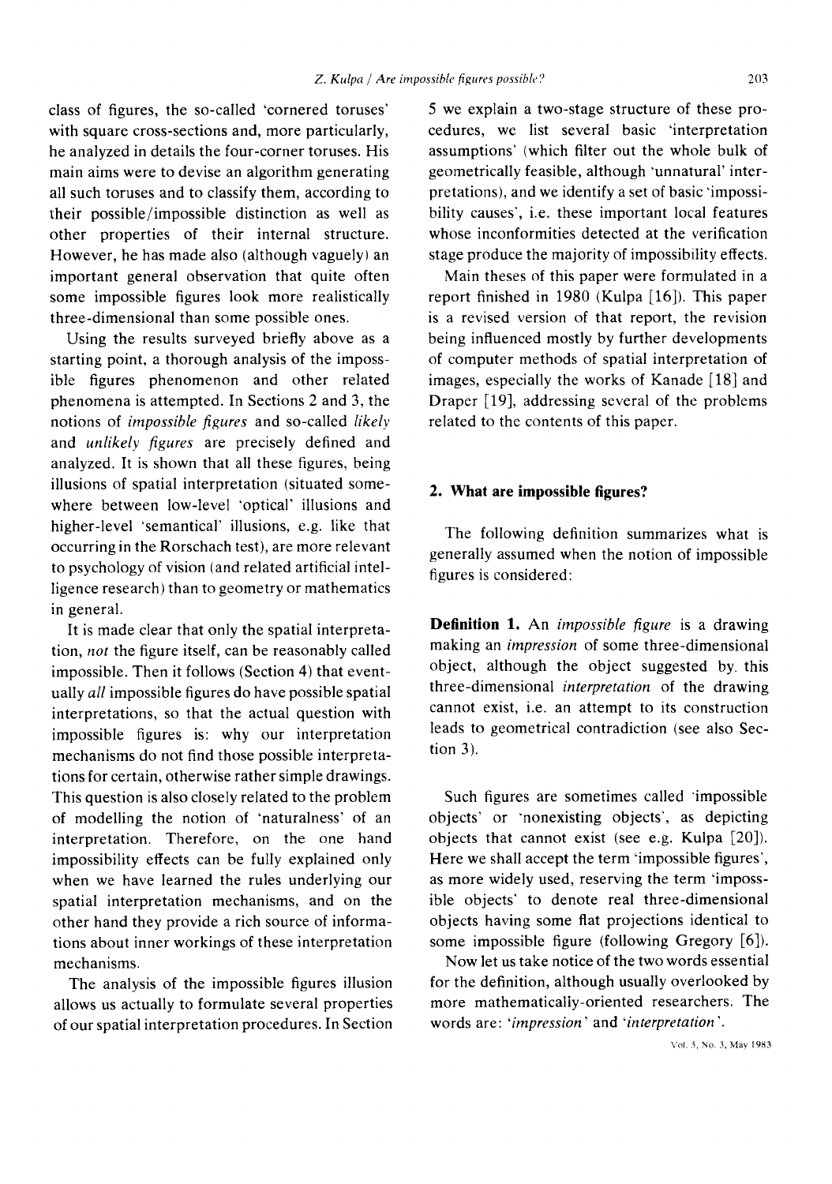class of figures, the so-called 'cornered toruses' with square cross-sections and, more particularly, he analyzed in details the four-corner toruses. His main aims were to devise an algorithm generating all such toruses and to classify them, according to their possible/impossible distinction as well as other properties of their internal structure. However, he has made also (although vaguely) an important general observation that quite often some impossible figures look more realistically three-dimensional than some possible ones.

Using the results surveyed briefly above as a starting point, a thorough analysis of the impossible figures phenomenon and other related phenomena is attempted. In Sections 2 and 3, the notions of *impossible figures* and so-called *likely*  and *unlikely figures* are precisely defined and analyzed. It is shown that all these figures, being illusions of spatial interpretation (situated somewhere between low-level 'optical' illusions and higher-level 'semantical' illusions, e.g. like that occurring in the Rorschach test), are more relevant to psychology of vision (and related artificial intelligence research) than to geometry or mathematics in general.

It is made clear that only the spatial interpretation, *not* the figure itself, can be reasonably called impossible. Then it follows (Section 4) that eventually *all* impossible figures do have possible spatial interpretations, so that the actual question with impossible figures is: why our interpretation mechanisms do not find those possible interpretations for certain, otherwise rather simple drawings. This question is also closely related to the problem of modelling the notion of 'naturalness' of an interpretation. Therefore, on the one hand impossibility effects can be fully explained only when we have learned the rules underlying our spatial interpretation mechanisms, and on the other hand they provide a rich source of informations about inner workings of these interpretation mechanisms.

The analysis of the impossible figures illusion allows us actually to formulate several properties of our spatial interpretation procedures. In Section 5 we explain a two-stage structure of these procedures, we list several basic 'interpretation assumptions' (which filter out the whole bulk of geometrically feasible, although 'unnatural' interpretations), and we identify a set of basic 'impossibility causes', i.e. these important local features whose inconformities detected at the verification stage produce the majority of impossibility effects.

Main theses of this paper were formulated in a report finished in 1980 (Kulpa [16]). This paper is a revised version of that report, the revision being influenced mostly by further developments of computer methods of spatial interpretation of images, especially the works of Kanade [18] and Draper [19], addressing several of the problems related to the contents of this paper.

#### **2. What are impossible figures?**

The following definition summarizes what is generally assumed when the notion of impossible figures is considered:

**Definition** 1. An *impossible figure* is a drawing making an *impression* of some three-dimensional object, although the object suggested by. this three-dimensional *interpretation* of the drawing cannot exist, i.e. an attempt to its construction leads to geometrical contradiction (see also Section 3).

Such figures are sometimes called "impossible objects' or "nonexisting objects', as depicting objects that cannot exist (see e.g. Kulpa [20]). Here we shall accept the term 'impossible figures', as more widely used, reserving the term 'impossible objects' to denote real three-dimensional objects having some flat projections identical to some impossible figure (following Gregory [6]).

Now let us take notice of the two words essential for the definition, although usually overlooked by more mathematically-oriented researchers. The words are: *'impression'* and *'interpretation'.*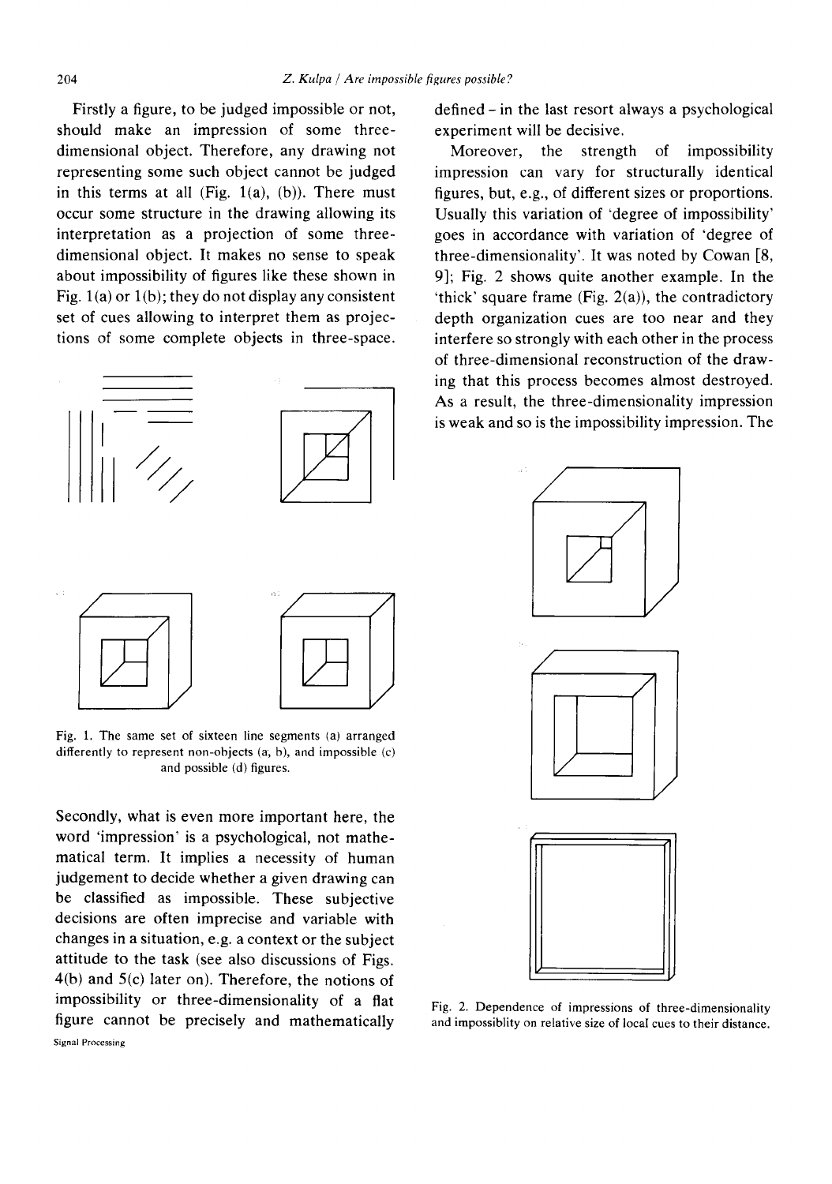Firstly a figure, to be judged impossible or not, should make an impression of some threedimensional object. Therefore, any drawing not representing some such object cannot be judged in this terms at all  $(Fig. 1(a), (b))$ . There must occur some structure in the drawing allowing its interpretation as a projection of some threedimensional object. It makes no sense to speak about impossibility of figures like these shown in Fig. 1(a) or  $1(b)$ ; they do not display any consistent set of cues allowing to interpret them as projections of some complete objects in three-space.



Fig. 1. The same set of sixteen line segments (a) arranged differently to represent non-objects (a, b), and impossible (c) and possible (d) figures.

Secondly, what is even more important here, the word 'impression' is a psychological, not mathematical term. It implies a necessity of human judgement to decide whether a given drawing can be classified as impossible. These subjective decisions are often imprecise and variable with changes in a situation, e.g. a context or the subject attitude to the task (see also discussions of Figs. 4(b) and 5(c) later on). Therefore, the notions of impossibility or three-dimensionality of a flat figure cannot be precisely and mathematically Signal Processing

defined- in the last resort always a psychological experiment will be decisive.

Moreover, the strength of impossibility impression can vary for structurally identical figures, but, e.g., of different sizes or proportions. Usually this variation of 'degree of impossibility' goes in accordance with variation of 'degree of three-dimensionality'. It was noted by Cowan [8, 9]; Fig. 2 shows quite another example. In the 'thick' square frame (Fig. 2(a)), the contradictory depth organization cues are too near and they interfere so strongly with each other in the process of three-dimensional reconstruction of the drawing that this process becomes almost destroyed. As a result, the three-dimensionality impression is weak and so is the impossibility impression. The



Fig. 2. Dependence of impressions of three-dimensionality and impossiblity on relative size of local cues to their distance.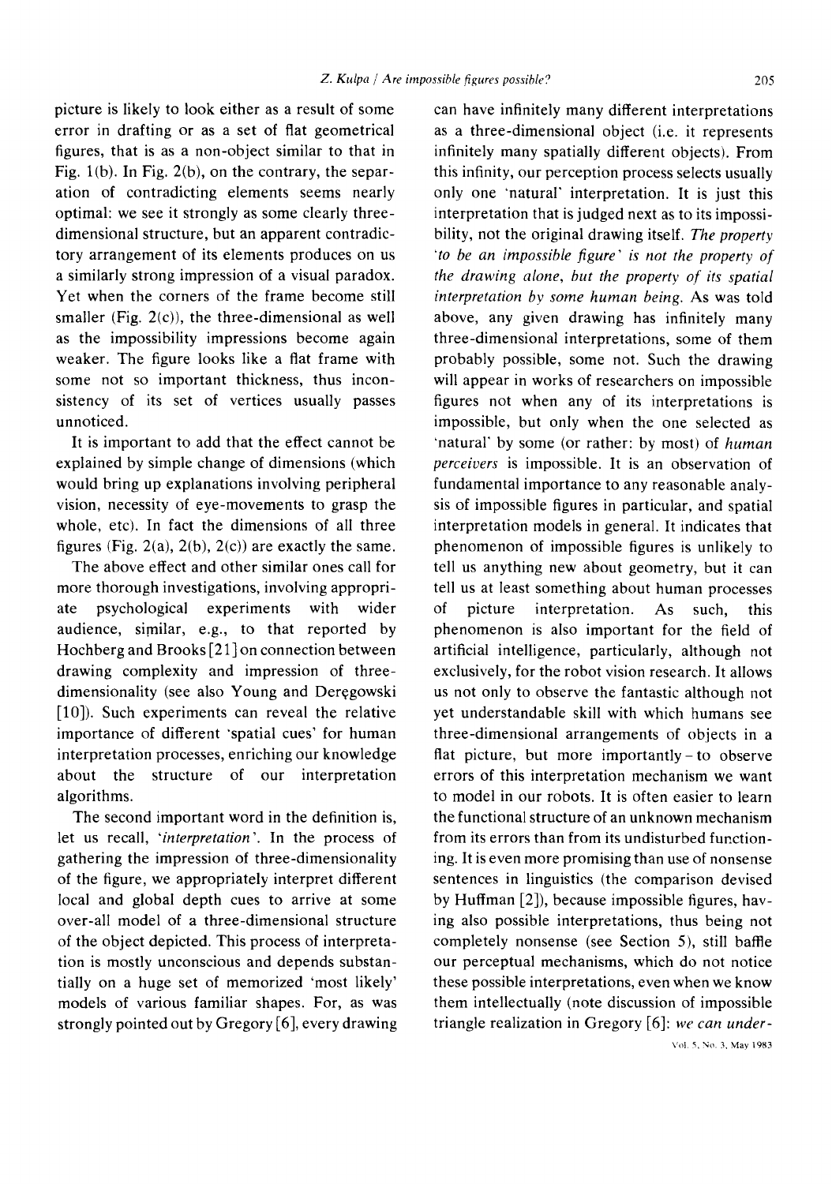picture is likely to look either as a result of some error in drafting or as a set of flat geometrical figures, that is as a non-object similar to that in Fig. 1(b). In Fig. 2(b), on the contrary, the separation of contradicting elements seems nearly optimal: we see it strongly as some clearly threedimensional structure, but an apparent contradictory arrangement of its elements produces on us a similarly strong impression of a visual paradox. Yet when the corners of the frame become still smaller (Fig.  $2(c)$ ), the three-dimensional as well as the impossibility impressions become again weaker. The figure looks like a flat frame with some not so important thickness, thus inconsistency of its set of vertices usually passes unnoticed.

It is important to add that the effect cannot be explained by simple change of dimensions (which would bring up explanations involving peripheral vision, necessity of eye-movements to grasp the whole, etc). In fact the dimensions of all three figures (Fig. 2(a), 2(b), 2(c)) are exactly the same.

The above effect and other similar ones call for more thorough investigations, involving appropriate psychological experiments with wider audience, similar, e.g., to that reported by Hochberg and Brooks [21] on connection between drawing complexity and impression of threedimensionality (see also Young and Deregowski [10]). Such experiments can reveal the relative importance of different 'spatial cues' for human interpretation processes, enriching our knowledge about the structure of our interpretation algorithms.

The second important word in the definition is, let us recall, *'interpretation'.* In the process of gathering the impression of three-dimensionality of the figure, we appropriately interpret different local and global depth cues to arrive at some over-all model of a three-dimensional structure of the object depicted. This process of interpretation is mostly unconscious and depends substantially on a huge set of memorized 'most likely' models of various familiar shapes. For, as was strongly pointed out by Gregory [6], every drawing

can have infinitely many different interpretations as a three-dimensional object (i.e. it represents infinitely many spatially different objects). From this infinity, our perception process selects usually only one 'natural' interpretation. It is just this interpretation that is judged next as to its impossibility, not the original drawing itself. *The property 'to be an impossible figure' is not the property of the drawing alone, but the property of its spatial interpretation by some human being.* As was told above, any given drawing has infinitely many three-dimensional interpretations, some of them probably possible, some not. Such the drawing will appear in works of researchers on impossible figures not when any of its interpretations is impossible, but only when the one selected as 'natural' by some (or rather: by most) of *human perceivers* is impossible. It is an observation of fundamental importance to any reasonable analysis of impossible figures in particular, and spatial interpretation models in general. It indicates that phenomenon of impossible figures is unlikely to tell us anything new about geometry, but it can tell us at least something about human processes of picture interpretation. As such, this phenomenon is also important for the field of artificial intelligence, particularly, although not exclusively, for the robot vision research. It allows us not only to observe the fantastic although not yet understandable skill with which humans see three-dimensional arrangements of objects in a flat picture, but more importantly-to observe errors of this interpretation mechanism we want to model in our robots. It is often easier to learn the functional structure of an unknown mechanism from its errors than from its undisturbed functioning. It is even more promising than use of nonsense sentences in linguistics (the comparison devised by Huffman [2]), because impossible figures, having also possible interpretations, thus being not completely nonsense (see Section 5), still baffle our perceptual mechanisms, which do not notice these possible interpretations, even when we know them intellectually (note discussion of impossible triangle realization in Gregory [6]: *we can under-*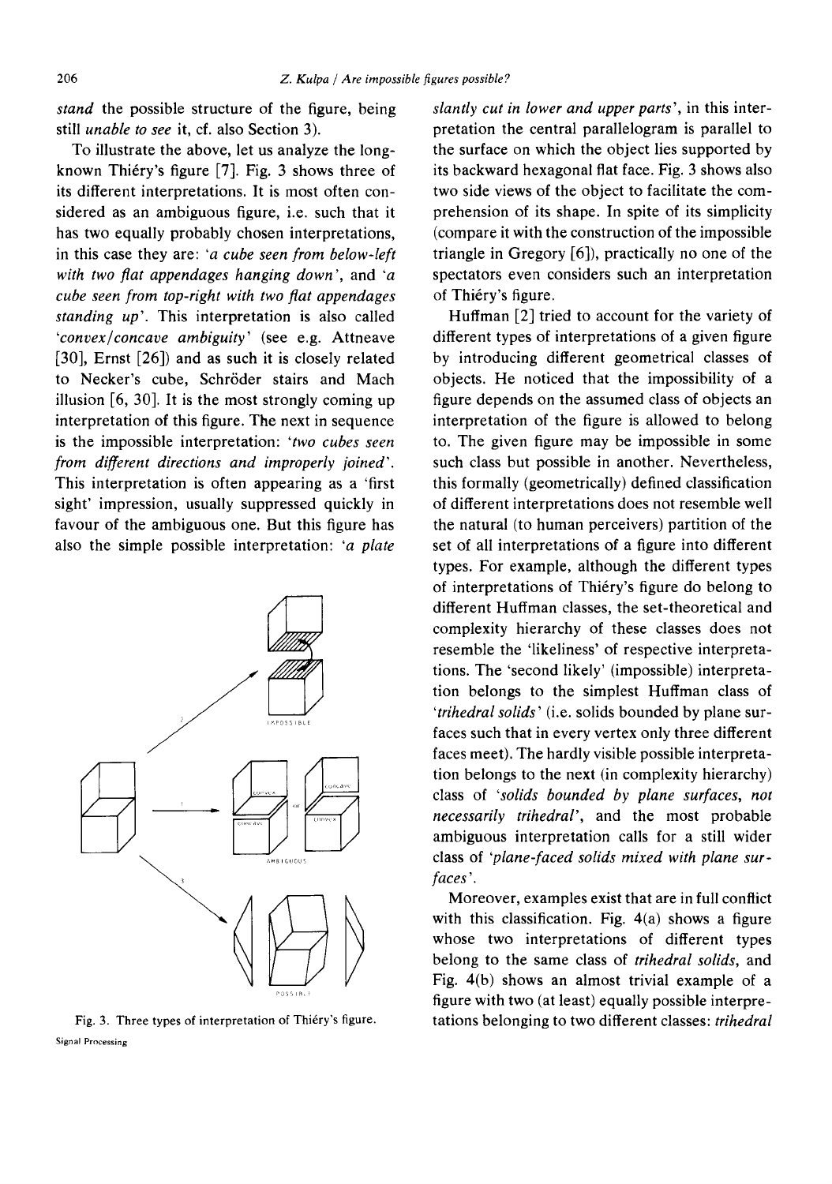*stand* the possible structure of the figure, being still *unable to see* it, cf. also Section 3).

To illustrate the above, let us analyze the longknown Thiéry's figure  $[7]$ . Fig. 3 shows three of its different interpretations. It is most often considered as an ambiguous figure, i.e. such that it has two equally probably chosen interpretations, in this case they are: 'a *cube seen from below-left with two flat appendages hanging down',* and 'a *cube seen from top-right with two flat appendages standing up'.* This interpretation is also called 'convex/concave ambiguity' (see e.g. Attneave [30], Ernst [26]) and as such it is closely related to Necker's cube, Schröder stairs and Mach illusion [6, 30]. It is the most strongly coming up interpretation of this figure. The next in sequence is the impossible interpretation: *'two cubes seen from different directions and improperly joined'.*  This interpretation is often appearing as a 'first sight' impression, usually suppressed quickly in favour of the ambiguous one. But this figure has also the simple possible interpretation: 'a *plate* 



Fig. 3. Three types of interpretation of Thiéry's figure. Signal Processing

*slantly cut in lower and upper parts',* in this interpretation the central parallelogram is parallel to the surface on which the object lies supported by its backward hexagonal flat face. Fig. 3 shows also two side views of the object to facilitate the comprehension of its shape. In spite of its simplicity (compare it with the construction of the impossible triangle in Gregory [6]), practically no one of the spectators even considers such an interpretation of Thi6ry's figure.

Huffman [2] tried to account for the variety of different types of interpretations of a given figure by introducing different geometrical classes of objects. He noticed that the impossibility of a figure depends on the assumed class of objects an interpretation of the figure is allowed to belong to. The given figure may be impossible in some such class but possible in another. Nevertheless, this formally (geometrically) defined classification of different interpretations does not resemble well the natural (to human perceivers) partition of the set of all interpretations of a figure into different types. For example, although the different types of interpretations of Thiéry's figure do belong to different Huffman classes, the set-theoretical and complexity hierarchy of these classes does not resemble the 'likeliness' of respective interpretations. The 'second likely' (impossible) interpretation belongs to the simplest Huffman class of *'trihedral solids'* (i.e. solids bounded by plane surfaces such that in every vertex only three different faces meet). The hardly visible possible interpretation belongs to the next (in complexity hierarchy) class of *'solids bounded by plane surfaces, not necessarily trihedral',* and the most probable ambiguous interpretation calls for a still wider class of *'plane-faced solids mixed with plane surfaces '.* 

Moreover, examples exist that are in full conflict with this classification. Fig.  $4(a)$  shows a figure whose two interpretations of different types belong to the same class of *trihedral solids,* and Fig. 4(b) shows an almost trivial example of a figure with two (at least) equally possible interpretations belonging to two different classes: *trihedral*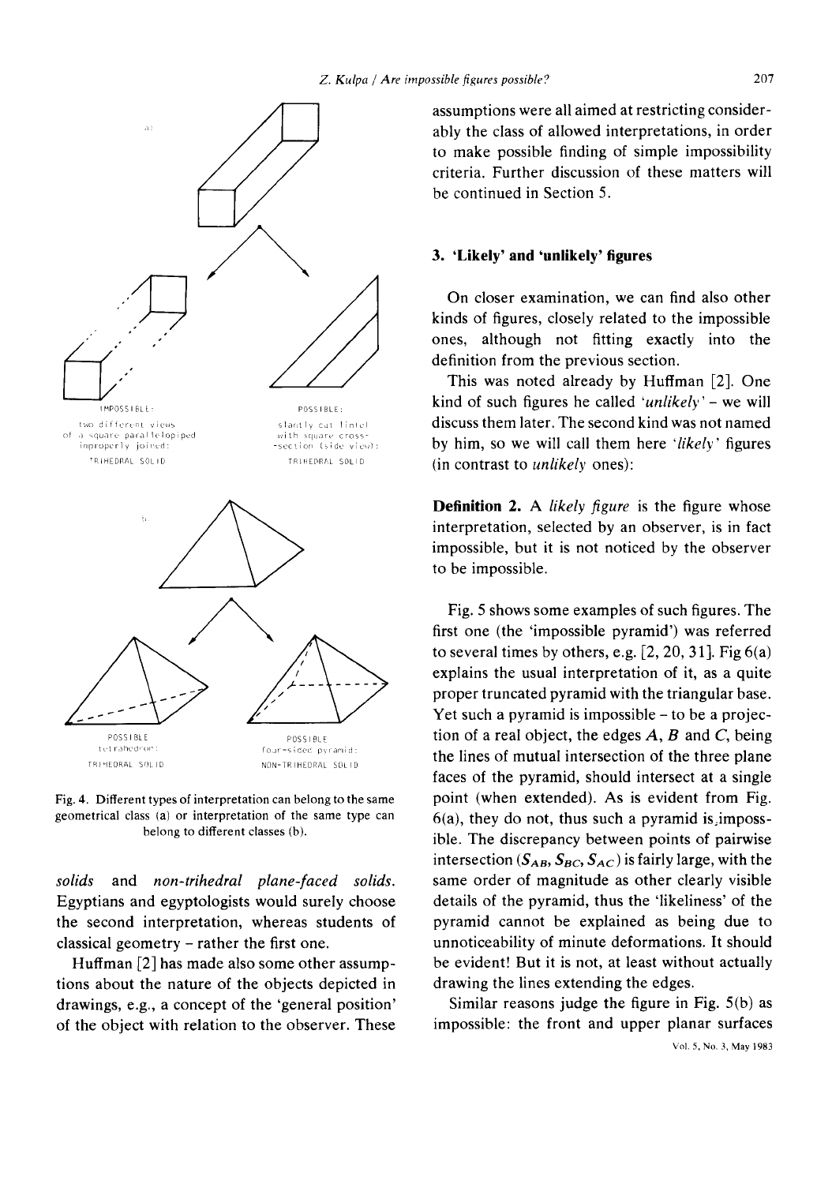

Fig. 4. Different types of interpretation can belong to the same geometrical class (a) or interpretation of the same type can belong to different classes (b).

*solids* and *non-trihedral plane-faced solids.*  Egyptians and egyptologists would surely choose the second interpretation, whereas students of classical geometry - rather the first one.

Huffman [2] has made also some other assumptions about the nature of the objects depicted in drawings, e.g., a concept of the 'general position' of the object with relation to the observer. These assumptions were all aimed at restricting considerably the class of allowed interpretations, in order to make possible finding of simple impossibility criteria. Further discussion of these matters will be continued in Section 5.

### **3. 'Likely' and 'unlikely' figures**

On closer examination, we can find also other kinds of figures, closely related to the impossible ones, although not fitting exactly into the definition from the previous section.

This was noted already by Huffman [2]. One kind of such figures he called *'unlikely'-* we will discuss them later. The second kind was not named by him, so we will call them here *'likely'* figures (in contrast to *unlikely* ones):

**Definition** 2. A *likely figure* is the figure whose interpretation, selected by an observer, is in fact impossible, but it is not noticed by the observer to be impossible.

Fig. 5 shows some examples of such figures. The first one (the 'impossible pyramid') was referred to several times by others, e.g.  $[2, 20, 31]$ . Fig  $6(a)$ explains the usual interpretation of it, as a quite proper truncated pyramid with the triangular base. Yet such a pyramid is impossible – to be a projection of a real object, the edges  $A$ ,  $B$  and  $C$ , being the lines of mutual intersection of the three plane faces of the pyramid, should intersect at a single point (when extended). As is evident from Fig.  $6(a)$ , they do not, thus such a pyramid is impossible. The discrepancy between points of pairwise intersection  $(S_{AB}, S_{BC}, S_{AC})$  is fairly large, with the same order of magnitude as other clearly visible details of the pyramid, thus the 'likeliness' of the pyramid cannot be explained as being due to unnoticeability of minute deformations. It should be evident! But it is not, at least without actually drawing the lines extending the edges.

Similar reasons judge the figure in Fig. 5(b) as impossible: the front and upper planar surfaces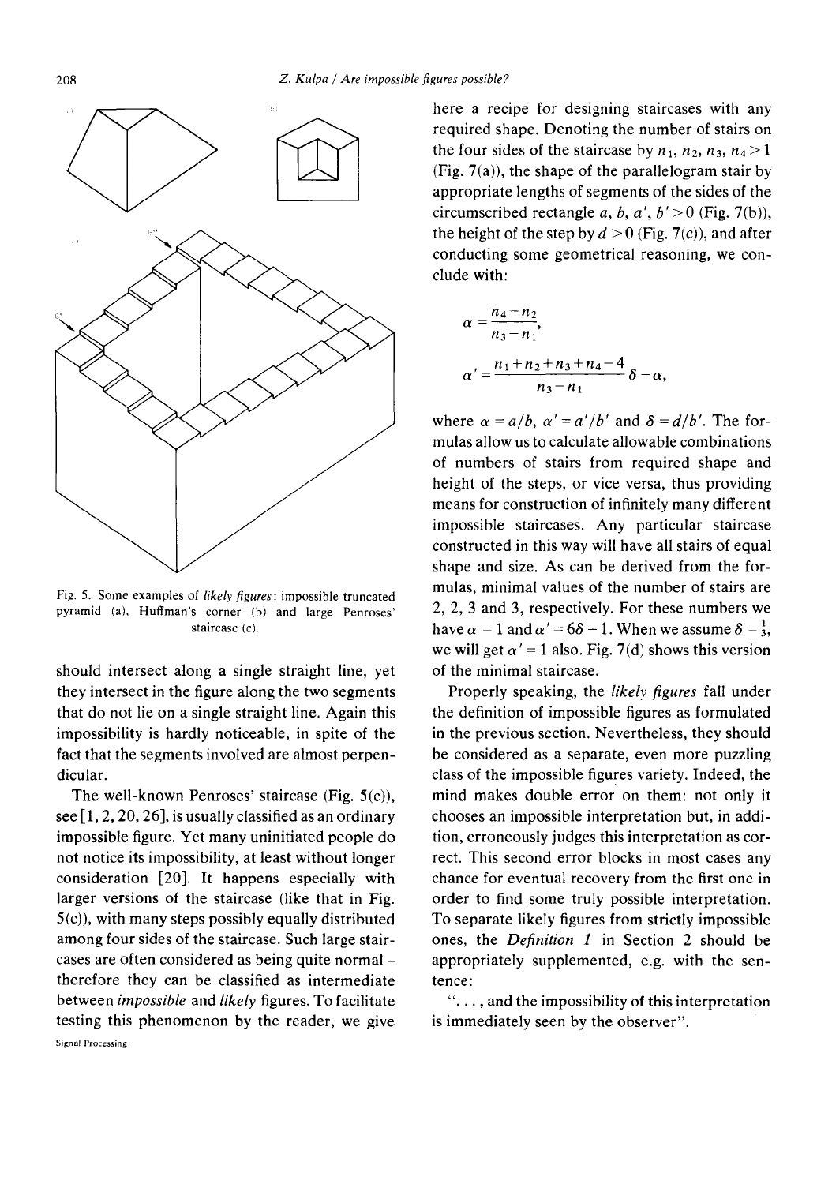

Fig. 5. Some examples of *likely figures:* impossible truncated pyramid (a), Huffman's corner (b) and large Penroses' staircase (c).

should intersect along a single straight line, yet they intersect in the figure along the two segments that do not lie on a single straight line. Again this impossibility is hardly noticeable, in spite of the fact that the segments involved are almost perpendicular.

The well-known Penroses' staircase (Fig. 5(c)), see  $[1, 2, 20, 26]$ , is usually classified as an ordinary impossible figure. Yet many uninitiated people do not notice its impossibility, at least without longer consideration [20]. It happens especially with larger versions of the staircase (like that in Fig. 5(c)), with many steps possibly equally distributed among four sides of the staircase. Such large staircases are often considered as being quite normal therefore they can be classified as intermediate between *impossible* and *likely* figures. To facilitate testing this phenomenon by the reader, we give Signal Processing

here a recipe for designing staircases with any required shape. Denoting the number of stairs on the four sides of the staircase by  $n_1$ ,  $n_2$ ,  $n_3$ ,  $n_4$  > 1 (Fig.  $7(a)$ ), the shape of the parallelogram stair by appropriate lengths of segments of the sides of the circumscribed rectangle a, b,  $a'$ ,  $b' > 0$  (Fig. 7(b)), the height of the step by  $d > 0$  (Fig. 7(c)), and after conducting some geometrical reasoning, we conclude with:

$$
\alpha = \frac{n_4 - n_2}{n_3 - n_1},
$$
  
\n
$$
\alpha' = \frac{n_1 + n_2 + n_3 + n_4 - 4}{n_3 - n_1} \delta - \alpha,
$$

where  $\alpha = a/b$ ,  $\alpha' = a'/b'$  and  $\delta = d/b'$ . The formulas allow us to calculate allowable combinations of numbers of stairs from required shape and height of the steps, or vice versa, thus providing means for construction of infinitely many different impossible staircases. Any particular staircase constructed in this way will have all stairs of equal shape and size. As can be derived from the formulas, minimal values of the number of stairs are 2, 2, 3 and 3, respectively. For these numbers we have  $\alpha = 1$  and  $\alpha' = 6\delta - 1$ . When we assume  $\delta = \frac{1}{3}$ , we will get  $\alpha' = 1$  also. Fig. 7(d) shows this version of the minimal staircase.

Properly speaking, the *likely figures* fall under the definition of impossible figures as formulated in the previous section. Nevertheless, they should be considered as a separate, even more puzzling class of the impossible figures variety. Indeed, the mind makes double error on them: not only it chooses an impossible interpretation but, in addition, erroneously judges this interpretation as correct. This second error blocks in most cases any chance for eventual recovery from the first one in order to find some truly possible interpretation. To separate likely figures from strictly impossible ones, the *Definition 1* in Section 2 should be appropriately supplemented, e.g. with the sentence:

"..., and the impossibility of this interpretation is immediately seen by the observer".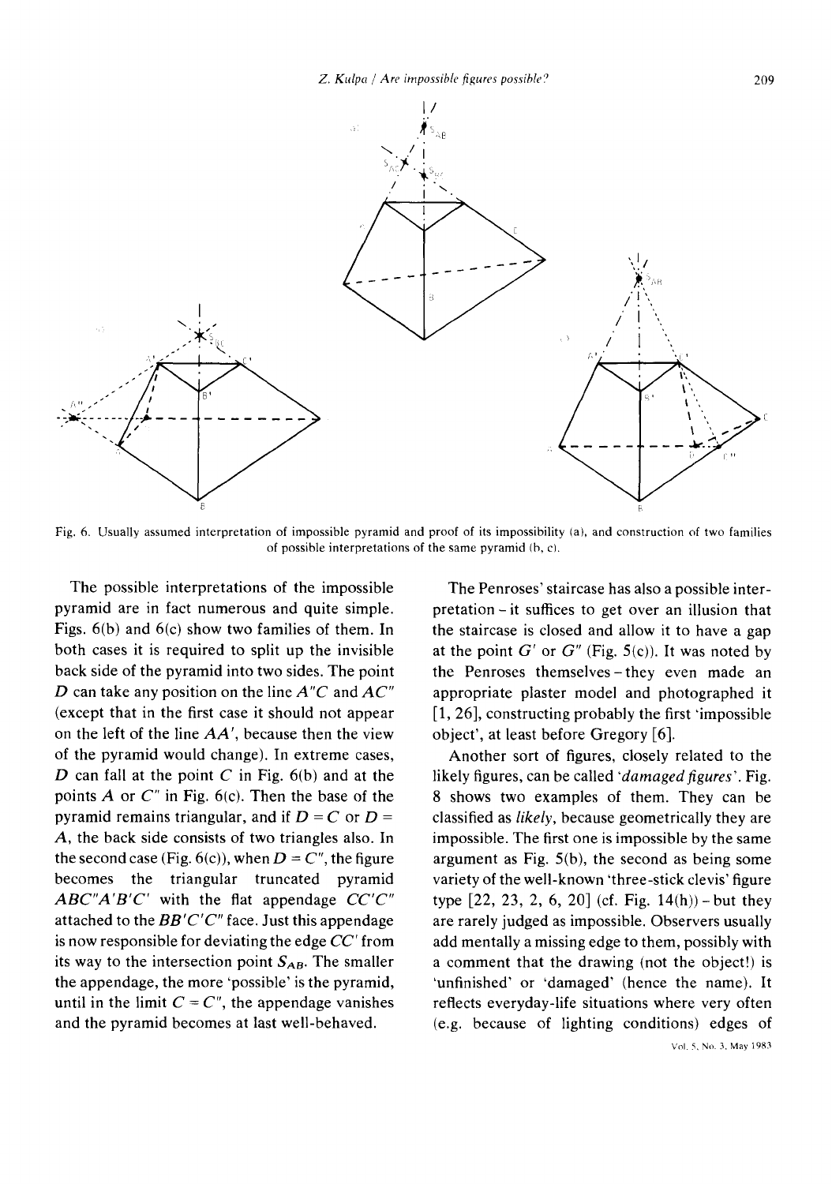

Fig. 6. Usually assumed interpretation of impossible pyramid and proof of its impossibility (a), and construction of two families of possible interpretations of the same pyramid (b, c).

The possible interpretations of the impossible pyramid are in fact numerous and quite simple. Figs. 6(b) and 6(c) show two families of them. In both cases it is required to split up the invisible back side of the pyramid into two sides. The point D can take any position on the line *A"C* and *AC"*  (except that in the first case it should not appear on the left of the line *AA',* because then the view of the pyramid would change). In extreme cases, D can fall at the point  $C$  in Fig.  $6(b)$  and at the points A or  $C''$  in Fig. 6(c). Then the base of the pyramid remains triangular, and if  $D = C$  or  $D =$ A, the back side consists of two triangles also. In the second case (Fig. 6(c)), when  $D = C''$ , the figure becomes the triangular truncated pyramid *ABC"A'B'C'* with the flat appendage *CC'C"*  attached to the *BB'C'C"* face. Just this appendage is now responsible for deviating the edge *CC'* from its way to the intersection point  $S_{AB}$ . The smaller the appendage, the more 'possible' is the pyramid, until in the limit  $C = C''$ , the appendage vanishes and the pyramid becomes at last well-behaved.

The Penroses' staircase has also a possible interpretation- it suffices to get over an illusion that the staircase is closed and allow it to have a gap at the point  $G'$  or  $G''$  (Fig. 5(c)). It was noted by the Penroses themselves-they even made an appropriate plaster model and photographed it  $[1, 26]$ , constructing probably the first 'impossible object', at least before Gregory [6].

Another sort of figures, closely related to the likely figures, can be called *'damaged figures'.* Fig. 8 shows two examples of them. They can be classified as *likely,* because geometrically they are impossible. The first one is impossible by the same argument as Fig. 5(b), the second as being some variety of the well-known 'three-stick clevis' figure type  $[22, 23, 2, 6, 20]$  (cf. Fig.  $14(h)$ ) – but they are rarely judged as impossible. Observers usually add mentally a missing edge to them, possibly with a comment that the drawing (not the object!) is 'unfinished' or 'damaged' (hence the name). It reflects everyday-life situations where very often (e.g. because of lighting conditions) edges of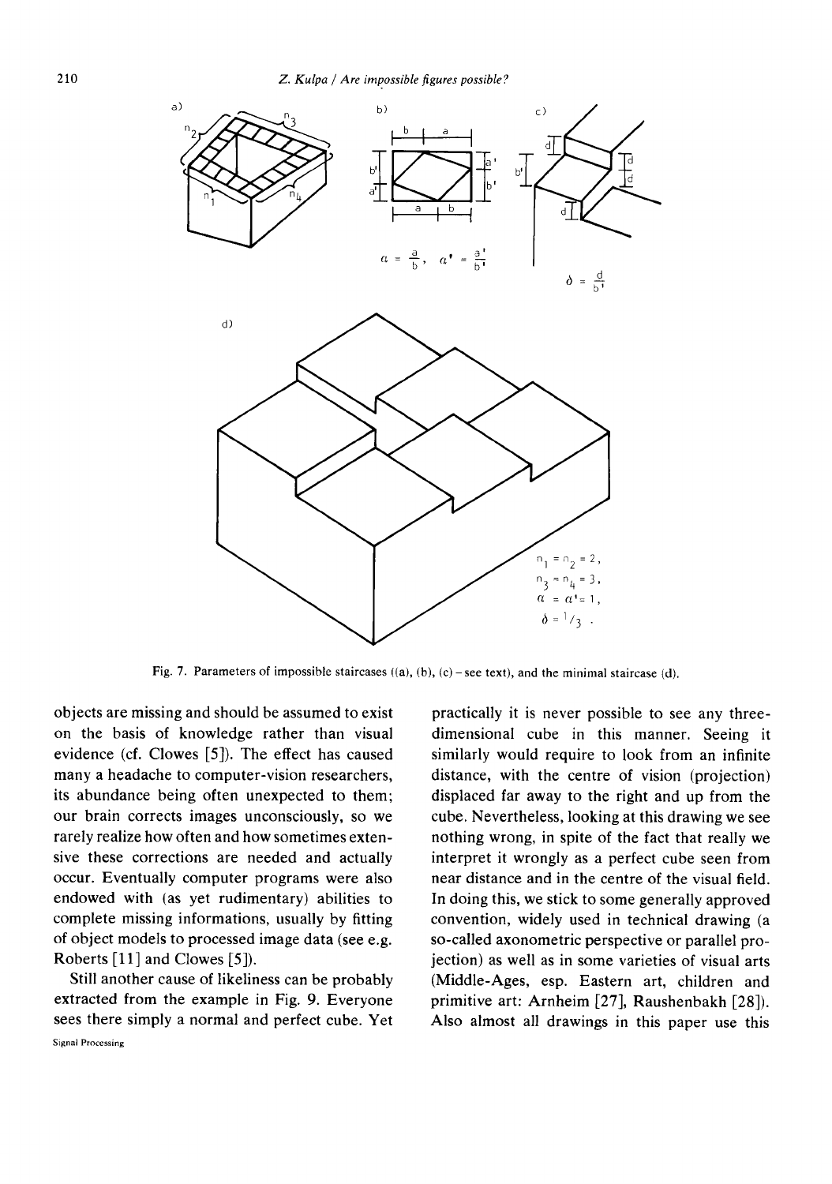

Fig. 7. Parameters of impossible staircases  $((a), (b), (c)$  – see text), and the minimal staircase  $(d)$ .

objects are missing and should be assumed to exist on the basis of knowledge rather than visual evidence (cf. Clowes [5]). The effect has caused many a headache to computer-vision researchers, its abundance being often unexpected to them; our brain corrects images unconsciously, so we rarely realize how often and how sometimes extensive these corrections are needed and actually occur. Eventually computer programs were also endowed with (as yet rudimentary) abilities to complete missing informations, usually by fitting of object models to processed image data (see e.g. Roberts [11] and Clowes [5]).

Still another cause of likeliness can be probably extracted from the example in Fig. 9. Everyone sees there simply a normal and perfect cube. Yet Signal Processing

practically it is never possible to see any threedimensional cube in this manner. Seeing it similarly would require to look from an infinite distance, with the centre of vision (projection) displaced far away to the right and up from the cube. Nevertheless, looking at this drawing we see nothing wrong, in spite of the fact that really we interpret it wrongly as a perfect cube seen from near distance and in the centre of the visual field. In doing this, we stick to some generally approved convention, widely used in technical drawing (a so-called axonometric perspective or parallel projection) as well as in some varieties of visual arts (Middle-Ages, esp. Eastern art, children and primitive art: Arnheim [27], Raushenbakh [28]). Also almost all drawings in this paper use this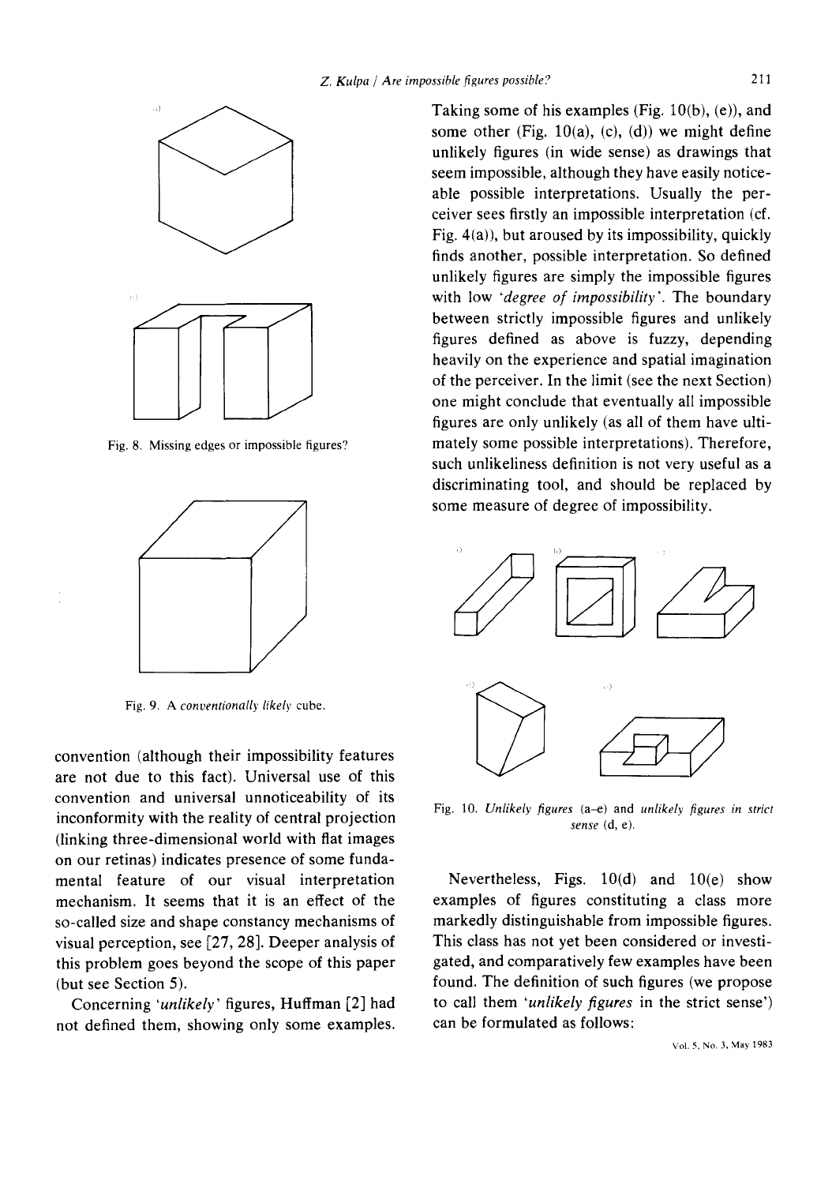

Fig. 8. Missing edges or impossible figures?



Fig. 9. A *conventionally likely* cube.

convention (although their impossibility features are not due to this fact). Universal use of this convention and universal unnoticeability of its inconformity with the reality of central projection (linking three-dimensional world with flat images on our retinas) indicates presence of some fundamental feature of our visual interpretation mechanism. It seems that it is an effect of the so-called size and shape constancy mechanisms of visual perception, see [27, 28]. Deeper analysis of this problem goes beyond the scope of this paper (but see Section 5).

Concerning *'unlikely'* figures, Huffman [2] had not defined them, showing only some examples. Taking some of his examples (Fig. 10(b), (e)), and some other (Fig. 10(a), (c), (d)) we might define unlikely figures (in wide sense) as drawings that seem impossible, although they have easily noticeable possible interpretations. Usually the perceiver sees firstly an impossible interpretation (cf. Fig.  $4(a)$ , but aroused by its impossibility, quickly finds another, possible interpretation. So defined unlikely figures are simply the impossible figures with low *'degree of impossibility'.* The boundary between strictly impossible figures and unlikely figures defined as above is fuzzy, depending heavily on the experience and spatial imagination of the perceiver. In the limit (see the next Section) one might conclude that eventually all impossible figures are only unlikely (as all of them have ultimately some possible interpretations). Therefore, such unlikeliness definition is not very useful as a discriminating tool, and should be replaced by some measure of degree of impossibility.



Fig. 10. *Unlikely figures* (a-e) and *unlikely figures in strict sense* (d, e).

Nevertheless, Figs.  $10(d)$  and  $10(e)$  show examples of figures constituting a class more markedly distinguishable from impossible figures. This class has not yet been considered or investigated, and comparatively few examples have been found. The definition of such figures (we propose to call them *'unlikely figures* in the strict sense') can be formulated as follows: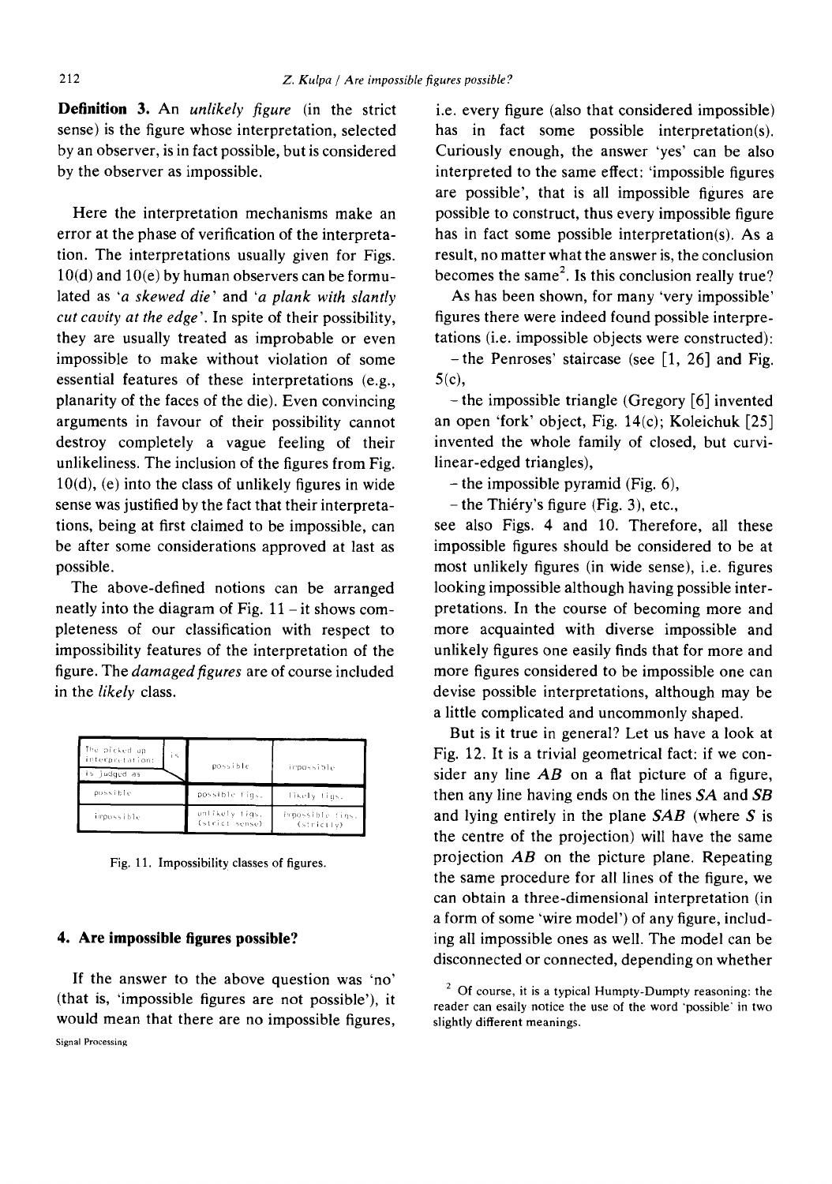**Definition** 3. An *unlikely figure* (in the strict sense) is the figure whose interpretation, selected by an observer, is in fact possible, but is considered by the observer as impossible.

Here the interpretation mechanisms make an error at the phase of verification of the interpretation. The interpretations usually given for Figs.  $10(d)$  and  $10(e)$  by human observers can be formulated as 'a *skewed die'* and 'a *plank with slantly cut cavity at the edge'.* In spite of their possibility, they are usually treated as improbable or even impossible to make without violation of some essential features of these interpretations (e.g., planarity of the faces of the die). Even convincing arguments in favour of their possibility cannot destroy completely a vague feeling of their unlikeliness. The inclusion of the figures from Fig.  $10(d)$ , (e) into the class of unlikely figures in wide sense was justified by the fact that their interpretations, being at first claimed to be impossible, can be after some considerations approved at last as possible.

The above-defined notions can be arranged neatly into the diagram of Fig. 11 - it shows completeness of our classification with respect to impossibility features of the interpretation of the figure. The *damaged figures* are of course included in the *likely* class.

| The picked up<br>i s.<br>interpretation:<br>is judged as | possible                         | impossible                                          |
|----------------------------------------------------------|----------------------------------|-----------------------------------------------------|
| possible                                                 | possible figs.                   | likely tigs.                                        |
| impossible                                               | unlikely figs.<br>(strict sense) | impossible fins.<br>$(s\text{tr}_\mathcal{U}(t y))$ |

Fig. 11. Impossibility classes of figures.

#### **4. Are impossible figures possible?**

If the answer to the above question was 'no' (that is, 'impossible figures are not possible'), it would mean that there are no impossible figures, Signal Processing

i.e. every figure (also that considered impossible) has in fact some possible interpretation(s). Curiously enough, the answer 'yes' can be also interpreted to the same effect: 'impossible figures are possible', that is all impossible figures are possible to construct, thus every impossible figure has in fact some possible interpretation(s). As a result, no matter what the answer is, the conclusion becomes the same<sup>2</sup>. Is this conclusion really true?

As has been shown, for many 'very impossible' figures there were indeed found possible interpretations (i.e. impossible objects were constructed):

**-the** Penroses' staircase (see [1, 26] and Fig. 5(c),

**-the** impossible triangle (Gregory [6] invented an open 'fork' object, Fig. 14(c); Koleichuk [25] invented the whole family of closed, but curvilinear-edged triangles),

**-** the impossible pyramid (Fig. 6),

- the Thi6ry's figure (Fig. 3), etc.,

see also Figs. 4 and 10. Therefore, all these impossible figures should be considered to be at most unlikely figures (in wide sense), i.e. figures looking impossible although having possible interpretations. In the course of becoming more and more acquainted with diverse impossible and unlikely figures one easily finds that for more and more figures considered to be impossible one can devise possible interpretations, although may be a little complicated and uncommonly shaped.

But is it true in general? Let us have a look at Fig. 12. It is a trivial geometrical fact: if we consider any line *AB* on a flat picture of a figure, then any line having ends on the lines *SA* and SB and lying entirely in the plane *SAB* (where S is the centre of the projection) will have the same projection *AB* on the picture plane. Repeating the same procedure for all lines of the figure, we can obtain a three-dimensional interpretation (in a form of some 'wire model') of any figure, including all impossible ones as well. The model can be disconnected or connected, depending on whether

 $2$  Of course, it is a typical Humpty-Dumpty reasoning: the reader can esaily notice the use of the word 'possible' in two slightly different meanings.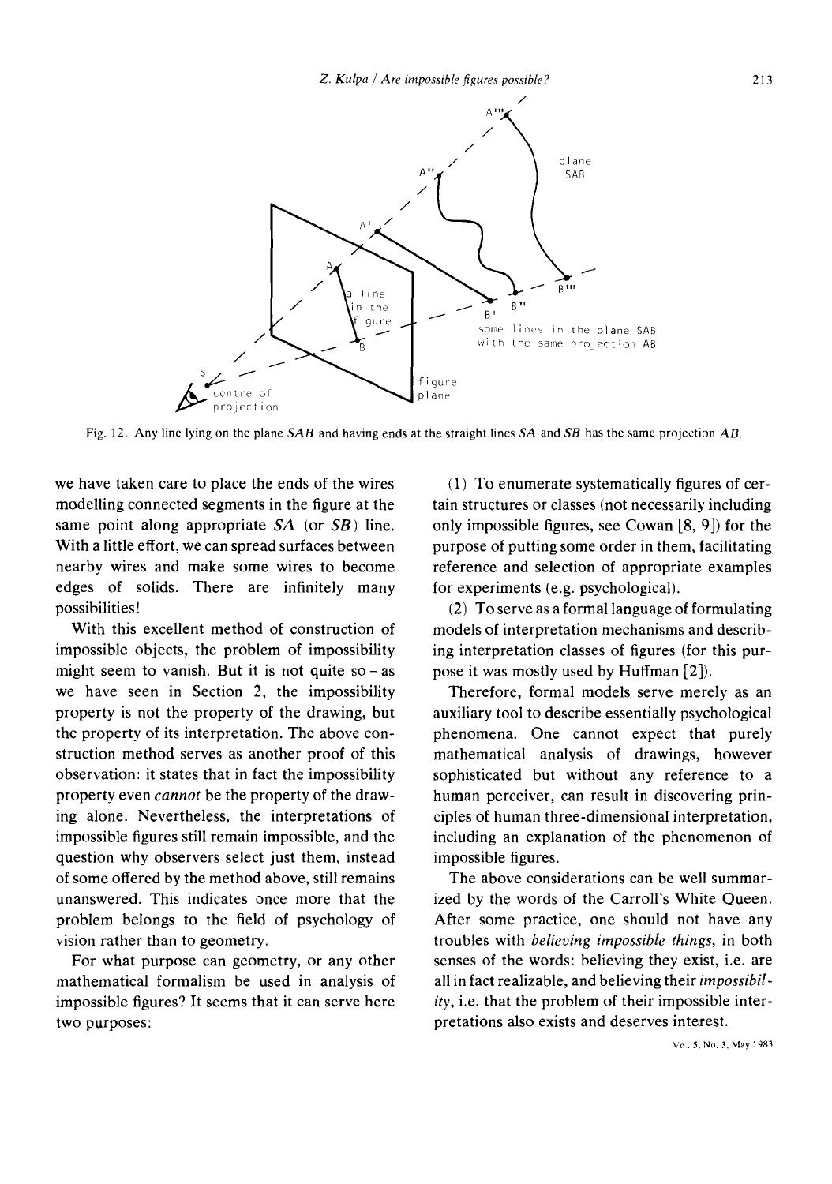

Fig. 12. Any line lying on the plane *SAB* and having ends at the straight lines *SA* and *SB* has the same projection *AB.* 

we have taken care to place the ends of the wires modelling connected segments in the figure at the same point along appropriate *SA* (or *SB)* line. With a little effort, we can spread surfaces between nearby wires and make some wires to become edges of solids. There are infinitely many possibilities!

With this excellent method of construction of impossible objects, the problem of impossibility might seem to vanish. But it is not quite  $so - as$ we have seen in Section 2, the impossibility property is not the property of the drawing, but the property of its interpretation. The above construction method serves as another proof of this observation: it states that in fact the impossibility property even *cannot* be the property of the drawing alone. Nevertheless, the interpretations of impossible figures still remain impossible, and the question why observers select just them, instead of some offered by the method above, still remains unanswered. This indicates once more that the problem belongs to the field of psychology of vision rather than to geometry.

For what purpose can geometry, or any other mathematical formalism be used in analysis of impossible figures? It seems that it can serve here two purposes:

(1) To enumerate systematically figures of certain structures or classes (not necessarily including only impossible figures, see Cowan [8, 9]) for the purpose of putting some order in them, facilitating reference and selection of appropriate examples for experiments (e.g. psychological).

(2) To serve as a formal language of formulating models of interpretation mechanisms and describing interpretation classes of figures (for this purpose it was mostly used by Huffman [2]).

Therefore, formal models serve merely as an auxiliary tool to describe essentially psychological phenomena. One cannot expect that purely mathematical analysis of drawings, however sophisticated but without any reference to a human perceiver, can result in discovering principles of human three-dimensional interpretation, including an explanation of the phenomenon of impossible figures.

The above considerations can be well summarized by the words of the Carroll's White Queen. After some practice, one should not have any troubles with *believing impossible things,* in both senses of the words: believing they exist, i.e. are all in fact realizable, and believing their *impossibility,* i.e. that the problem of their impossible interpretations also exists and deserves interest.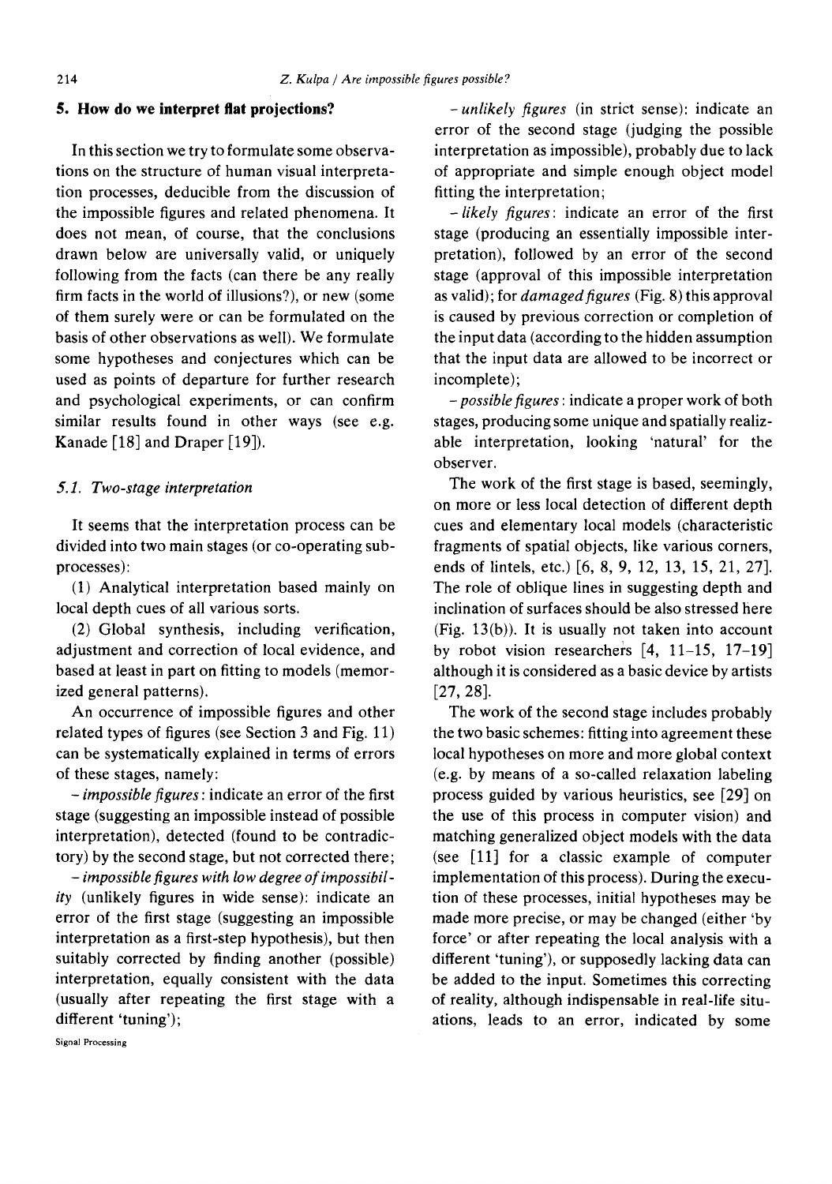#### **5. How do we interpret fiat projections?**

In this section we try to formulate some observations on the structure of human visual interpretation processes, deducible from the discussion of the impossible figures and related phenomena. It does not mean, of course, that the conclusions drawn below are universally valid, or uniquely following from the facts (can there be any really firm facts in the world of illusions?), or new (some of them surely were or can be formulated on the basis of other observations as well). We formulate some hypotheses and conjectures which can be used as points of departure for further research and psychological experiments, or can confirm similar results found in other ways (see e.g. Kanade [18] and Draper [19]).

#### *5.1. Two-stage interpretation*

It seems that the interpretation process can be divided into two main stages (or co-operating subprocesses):

(1) Analytical interpretation based mainly on local depth cues of all various sorts.

(2) Global synthesis, including verification, adjustment and correction of local evidence, and based at least in part on fitting to models (memorized general patterns).

An occurrence of impossible figures and other related types of figures (see Section 3 and Fig. 11) can be systematically explained in terms of errors of these stages, namely:

*- impossible figures:* indicate an error of the first stage (suggesting an impossible instead of possible interpretation), detected (found to be contradictory) by the second stage, but not corrected there;

*- impossible figures with low degree of impossibility* (unlikely figures in wide sense): indicate an error of the first stage (suggesting an impossible interpretation as a first-step hypothesis), but then suitably corrected by finding another (possible) interpretation, equally consistent with the data (usually after repeating the first stage with a different 'tuning');

*-unlikely figures* (in strict sense): indicate an error of the second stage (judging the possible interpretation as impossible), probably due to lack of appropriate and simple enough object model fitting the interpretation;

*-likely figures:* indicate an error of the first stage (producing an essentially impossible interpretation), followed by an error of the second stage (approval of this impossible interpretation as valid); for *damaged figures* (Fig. 8) this approval is caused by previous correction or completion of the input data (according to the hidden assumption that the input data are allowed to be incorrect or incomplete);

*- possible figures* : indicate a proper work of both stages, producing some unique and spatially realizable interpretation, looking 'natural' for the observer.

The work of the first stage is based, seemingly, on more or less local detection of different depth cues and elementary local models (characteristic fragments of spatial objects, like various corners, ends of lintels, etc.) [6, 8, 9, 12, 13, 15, 21, 27]. The role of oblique lines in suggesting depth and inclination of surfaces should be also stressed here (Fig. 13(b)). It is usually not taken into account by robot vision researchers  $[4, 11-15, 17-19]$ although it is considered as a basic device by artists [27, 28].

The work of the second stage includes probably the two basic schemes: fitting into agreement these local hypotheses on more and more global context (e.g. by means of a so-called relaxation labeling process guided by various heuristics, see [29] on the use of this process in computer vision) and matching generalized object models with the data (see [11] for a classic example of computer implementation of this process). During the execution of these processes, initial hypotheses may be made more precise, or may be changed (either 'by force' or after repeating the local analysis with a different 'tuning'), or supposedly lacking data can be added to the input. Sometimes this correcting of reality, although indispensable in real-life situations, leads to an error, indicated by some

Signal Processing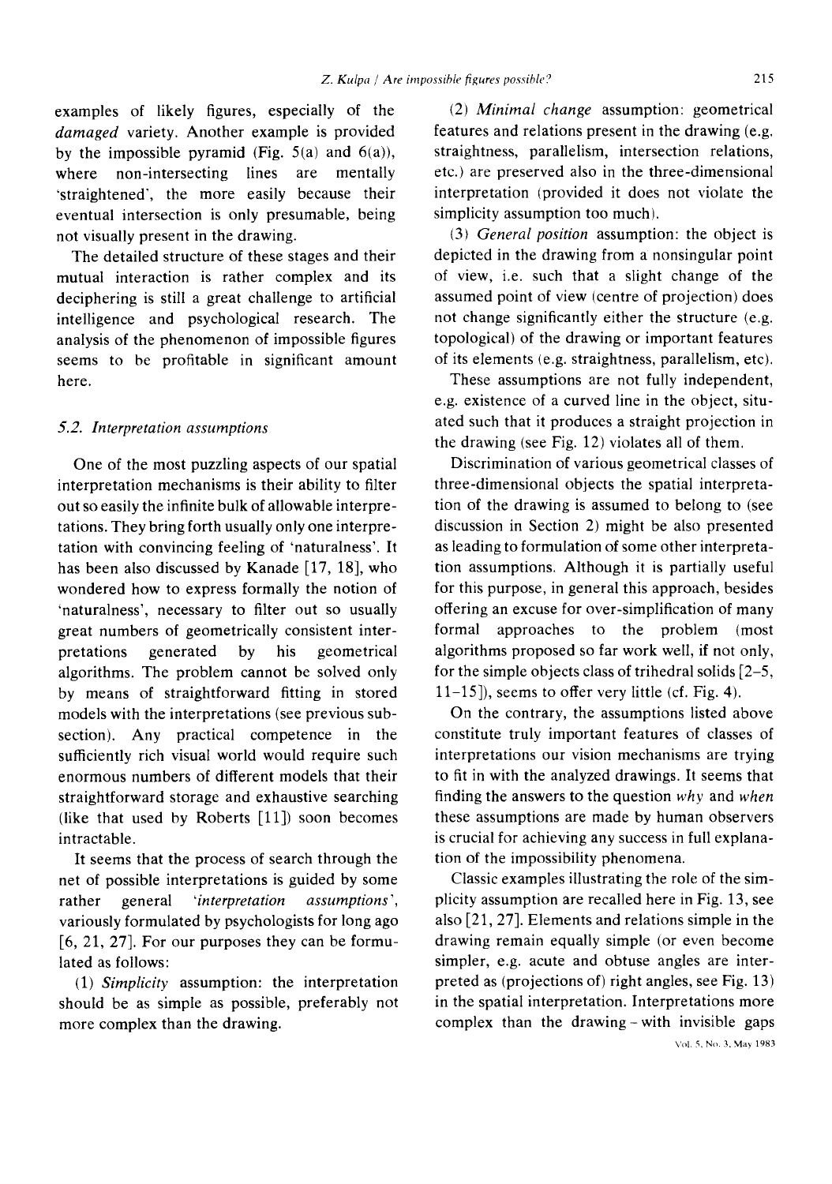examples of likely figures, especially of the *damaged* variety. Another example is provided by the impossible pyramid (Fig.  $5(a)$  and  $6(a)$ ), where non-intersecting lines are mentally 'straightened', the more easily because their eventual intersection is only presumable, being not visually present in the drawing.

The detailed structure of these stages and their mutual interaction is rather complex and its deciphering is still a great challenge to artificial intelligence and psychological research. The analysis of the phenomenon of impossible figures seems to be profitable in significant amount here.

#### *5.2. Interpretation assumptions*

One of the most puzzling aspects of our spatial interpretation mechanisms is their ability to filter out so easily the infinite bulk of allowable interpretations. They bring forth usually only one interpretation with convincing feeling of 'naturalness'. It has been also discussed by Kanade [17, 18], who wondered how to express formally the notion of 'naturalness', necessary to filter out so usually great numbers of geometrically consistent interpretations generated by his geometrical algorithms. The problem cannot be solved only by means of straightforward fitting in stored models with the interpretations (see previous subsection). Any practical competence in the sufficiently rich visual world would require such enormous numbers of different models that their straightforward storage and exhaustive searching (like that used by Roberts [11]) soon becomes intractable.

It seems that the process of search through the net of possible interpretations is guided by some rather general *'interpretation assumptions ',*  variously formulated by psychologists for long ago  $[6, 21, 27]$ . For our purposes they can be formulated as follows:

(1) *Simplicity* assumption: the interpretation should be as simple as possible, preferably not more complex than the drawing.

(2) *Minimal change* assumption: geometrical features and relations present in the drawing (e.g. straightness, parallelism, intersection relations, etc.) are preserved also in the three-dimensional interpretation (provided it does not violate the simplicity assumption too much).

(3) *General position* assumption: the object is depicted in the drawing from a nonsingular point of view, i.e. such that a slight change of the assumed point of view (centre of projection) does not change significantly either the structure (e.g. topological) of the drawing or important features of its elements (e.g. straightness, parallelism, etc).

These assumptions are not fully independent, e.g. existence of a curved line in the object, situated such that it produces a straight projection in the drawing (see Fig. 12) violates all of them.

Discrimination of various geometrical classes of three-dimensional objects the spatial interpretation of the drawing is assumed to belong to (see discussion in Section 2) might be also presented as leading to formulation of some other interpretation assumptions. Although it is partially useful for this purpose, in general this approach, besides offering an excuse for over-simplification of many formal approaches to the problem (most algorithms proposed so far work well, if not only, for the simple objects class of trihedral solids [2-5, 11-15]), seems to offer very little (cf. Fig. 4).

On the contrary, the assumptions listed above constitute truly important features of classes of interpretations our vision mechanisms are trying to fit in with the analyzed drawings. It seems that finding the answers to the question *why* and *when*  these assumptions are made by human observers is crucial for achieving any success in full explanation of the impossibility phenomena.

Classic examples illustrating the role of the simplicity assumption are recalled here in Fig. 13, see also [21, 27]. Elements and relations simple in the drawing remain equally simple (or even become simpler, e.g. acute and obtuse angles are interpreted as (projections of) right angles, see Fig. 13) in the spatial interpretation. Interpretations more complex than the drawing-with invisible gaps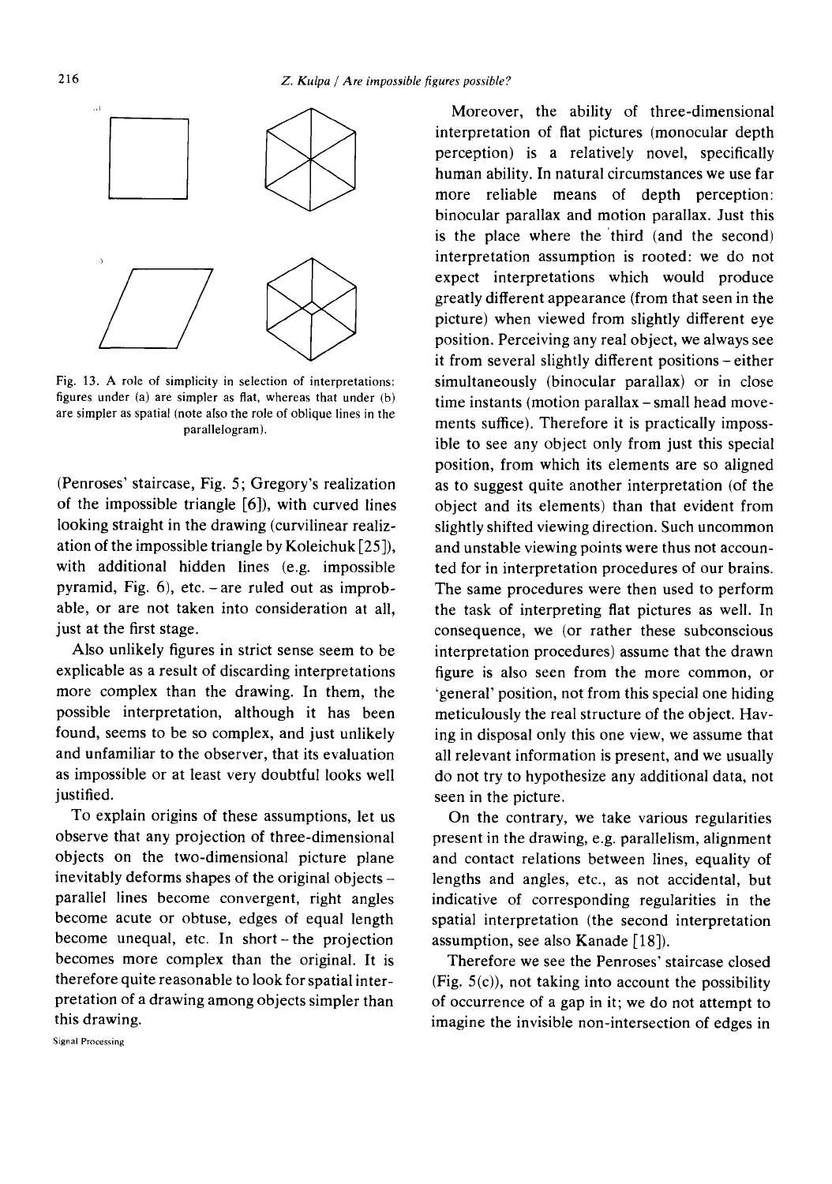

Fig. 13. A role of simplicity in selection of interpretations: figures under (a) are simpler as flat, whereas that under (b) are simpler as spatial (note also the role of oblique lines in the parallelogram).

(Penroses' staircase, Fig. 5; Gregory's realization of the impossible triangle  $[6]$ , with curved lines looking straight in the drawing (curvilinear realization of the impossible triangle by Koleichuk [25]), with additional hidden lines (e.g. impossible pyramid, Fig. 6), etc.- are ruled out as improbable, or are not taken into consideration at all, just at the first stage.

Also unlikely figures in strict sense seem to be explicable as a result of discarding interpretations more complex than the drawing. In them, the possible interpretation, although it has been found, seems to be so complex, and just unlikely and unfamiliar to the observer, that its evaluation as impossible or at least very doubtful looks well justified.

To explain origins of these assumptions, let us observe that any projection of three-dimensional objects on the two-dimensional picture plane inevitably deforms shapes of the original objects  $$ parallel lines become convergent, right angles become acute or obtuse, edges of equal length become unequal, etc. In short-the projection becomes more complex than the original. It is therefore quite reasonable to look for spatial interpretation of a drawing among objects simpler than this drawing.

Moreover, the ability of three-dimensional interpretation of flat pictures (monocular depth perception) is a relatively novel, specifically human ability. In natural circumstances we use far more reliable means of depth perception: binocular parallax and motion parallax. Just this is the place where the 'third (and the second) interpretation assumption is rooted: we do not expect interpretations which would produce greatly different appearance (from that seen in the picture) when viewed from slightly different eye position. Perceiving any real object, we always see it from several slightly different positions- either simultaneously (binocular parallax) or in close time instants (motion parallax- small head movements suffice). Therefore it is practically impossible to see any object only from just this special position, from which its elements are so aligned as to suggest quite another interpretation (of the object and its elements) than that evident from slightly shifted viewing direction. Such uncommon and unstable viewing points were thus not accounted for in interpretation procedures of our brains. The same procedures were then used to perform the task of interpreting flat pictures as well. In consequence, we (or rather these subconscious interpretation procedures) assume that the drawn figure is also seen from the more common, or 'general' position, not from this special one hiding meticulously the real structure of the object. Having in disposal only this one view, we assume that all relevant information is present, and we usually do not try to hypothesize any additional data, not seen in the picture.

On the contrary, we take various regularities present in the drawing, e.g. parallelism, alignment and contact relations between lines, equality of lengths and angles, etc., as not accidental, but indicative of corresponding regularities in the spatial interpretation (the second interpretation assumption, see also Kanade [18]).

Therefore we see the Penroses' staircase closed (Fig.  $5(c)$ ), not taking into account the possibility of occurrence of a gap in it; we do not attempt to imagine the invisible non-intersection of edges in

Signal Processing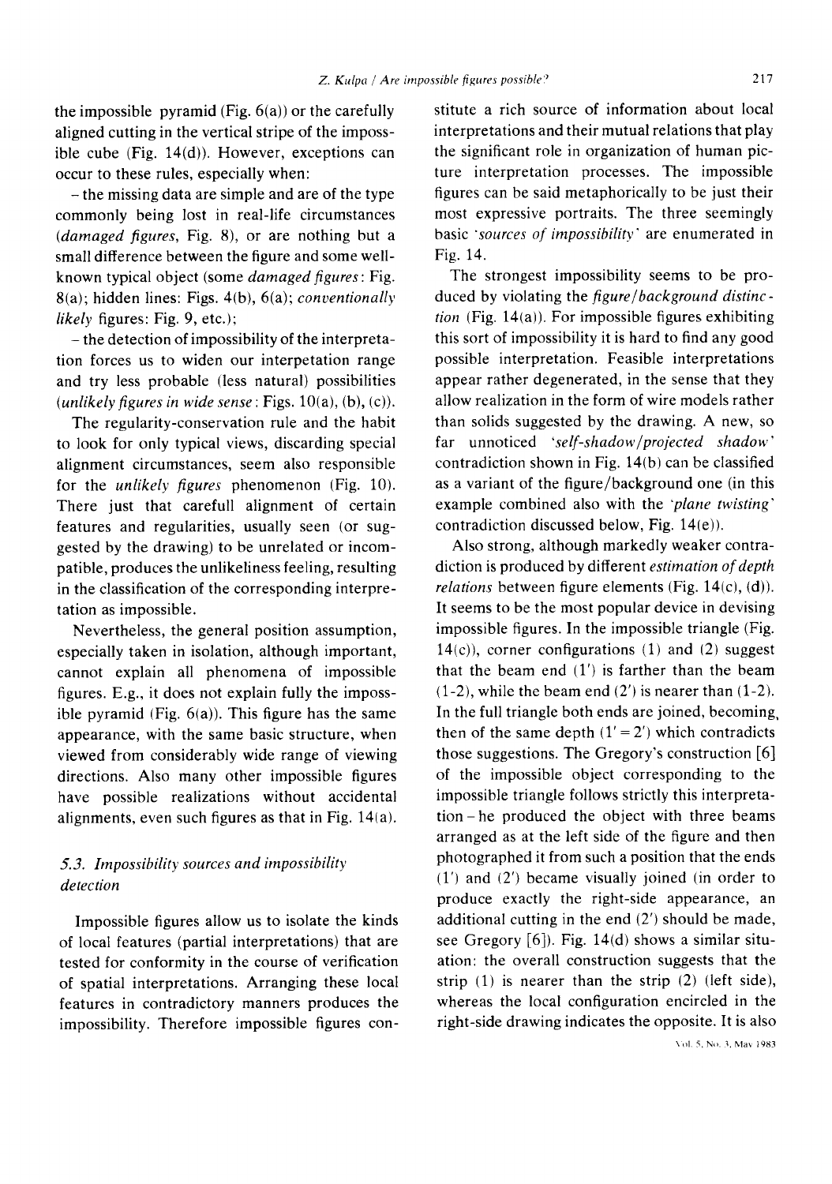the impossible pyramid (Fig.  $6(a)$ ) or the carefully aligned cutting in the vertical stripe of the impossible cube (Fig. 14(d)). However, exceptions can occur to these rules, especially when:

**-** the missing data are simple and are of the type commonly being lost in real-life circumstances *(damaged figures,* Fig. 8), or are nothing but a small difference between the figure and some wellknown typical object (some *damaged figures:* Fig. 8(a); hidden lines: Figs. 4(b), 6(a); *conventionally likely* figures: Fig. 9, etc.);

**-** the detection of impossibility of the interpretation forces us to widen our interpetation range and try less probable (less natural) possibilities *(unlikely figures in wide sense:* Figs. 10(a), (b), (c)).

The regularity-conservation rule and the habit to look for only typical views, discarding special alignment circumstances, seem also responsible for the *unlikely figures* phenomenon (Fig. 10). There just that carefull alignment of certain features and regularities, usually seen (or suggested by the drawing) to be unrelated or incompatible, produces the unlikeliness feeling, resulting in the classification of the corresponding interpretation as impossible.

Nevertheless, the general position assumption, especially taken in isolation, although important, cannot explain all phenomena of impossible figures. E.g., it does not explain fully the impossible pyramid  $(Fig. 6(a))$ . This figure has the same appearance, with the same basic structure, when viewed from considerably wide range of viewing directions. Also many other impossible figures have possible realizations without accidental alignments, even such figures as that in Fig. 14(a).

## *5.3. Impossibility sources and impossibility detection*

Impossible figures allow us to isolate the kinds of local features (partial interpretations) that are tested for conformity in the course of verification of spatial interpretations. Arranging these local features in contradictory manners produces the impossibility. Therefore impossible figures constitute a rich source of information about local interpretations and their mutual relations that play the significant role in organization of human picture interpretation processes. The impossible figures can be said metaphorically to be just their most expressive portraits. The three seemingly basic *'sources of impossibility'* are enumerated in Fig. 14.

The strongest impossibility seems to be produced by violating the *figure/background distinction* (Fig. 14(a)). For impossible figures exhibiting this sort of impossibility it is hard to find any good possible interpretation. Feasible interpretations appear rather degenerated, in the sense that they allow realization in the form of wire models rather than solids suggested by the drawing. A new, so far unnoticed *'self-shadow~projected shadow'*  contradiction shown in Fig. 14(b) can be classified as a variant of the figure/background one (in this example combined also with the *'plane twisting"*  contradiction discussed below, Fig. 14(e)).

Also strong, although markedly weaker contradiction is produced by different *estimation of depth relations* between figure elements (Fig. 14(c), (d)). It seems to be the most popular device in devising impossible figures. In the impossible triangle (Fig.  $14(c)$ , corner configurations (1) and (2) suggest that the beam end  $(1')$  is farther than the beam  $(1-2)$ , while the beam end  $(2')$  is nearer than  $(1-2)$ . In the full triangle both ends are joined, becoming, then of the same depth  $(1' = 2')$  which contradicts those suggestions. The Gregory's construction [6] of the impossible object corresponding to the impossible triangle follows strictly this interpretation- he produced the object with three beams arranged as at the left side of the figure and then photographed it from such a position that the ends (1') and (2') became visually joined (in order to produce exactly the right-side appearance, an additional cutting in the end (2') should be made, see Gregory  $[6]$ ). Fig. 14(d) shows a similar situation: the overall construction suggests that the strip  $(1)$  is nearer than the strip  $(2)$  (left side), whereas the local configuration encircled in the right-side drawing indicates the opposite. It is also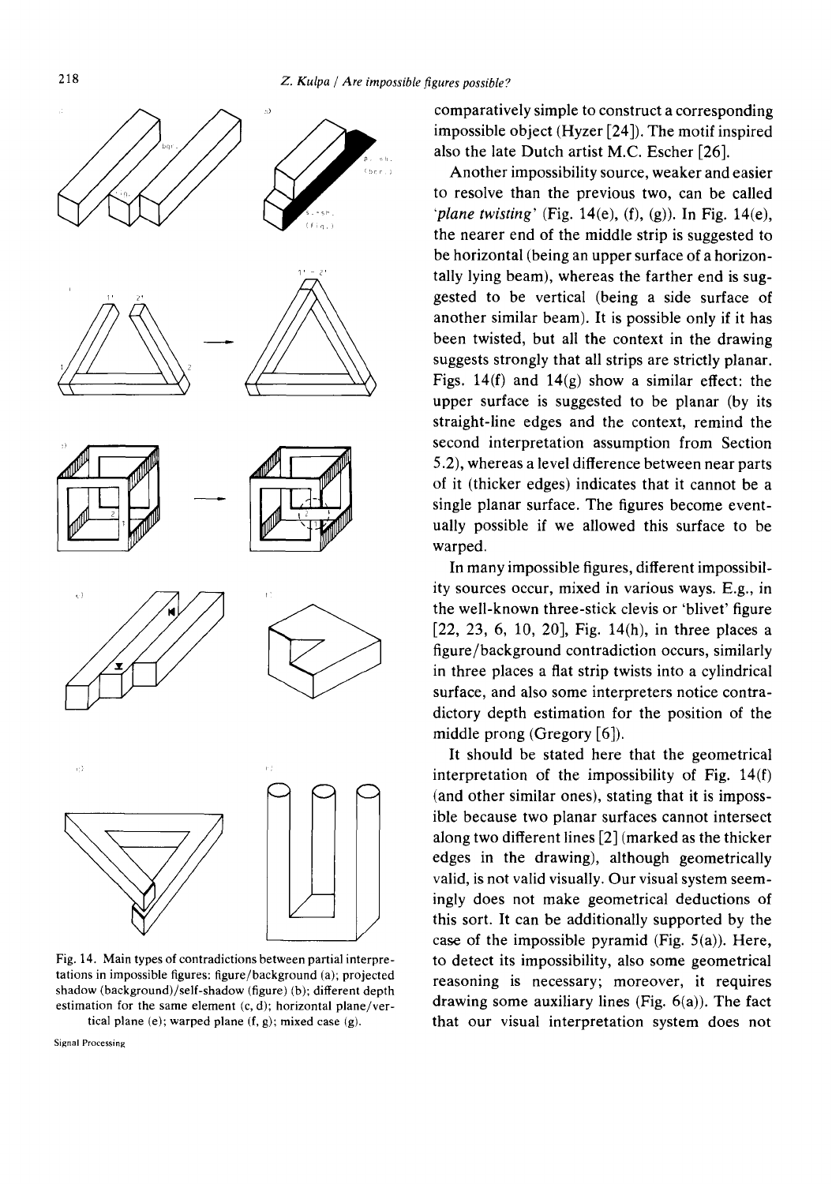

Fig. 14. Main types of contradictions between partial interpretations in impossible figures: figure/background (a); projected shadow (background)/self-shadow (figure) (b); different depth estimation for the same element  $(c, d)$ ; horizontal plane/vertical plane (e); warped plane (f, g); mixed case (g).

Signal Processing

comparatively simple to construct a corresponding impossible object (Hyzer [24]). The motif inspired also the late Dutch artist M.C. Escher [26].

Another impossibility source, weaker and easier to resolve than the previous two, can be called *'plane twisting'* (Fig. 14(e), (f), (g)). In Fig. 14(e), the nearer end of the middle strip is suggested to be horizontal (being an upper surface of a horizontally lying beam), whereas the farther end is suggested to be vertical (being a side surface of another similar beam). It is possible only if it has been twisted, but all the context in the drawing suggests strongly that all strips are strictly planar. Figs.  $14(f)$  and  $14(g)$  show a similar effect: the upper surface is suggested to be planar (by its straight-line edges and the context, remind the second interpretation assumption from Section 5.2), whereas a level difference between near parts of it (thicker edges) indicates that it cannot be a single planar surface. The figures become eventually possible if we allowed this surface to be warped.

In many impossible figures, different impossibility sources occur, mixed in various ways. E.g., in the well-known three-stick clevis or 'blivet' figure  $[22, 23, 6, 10, 20]$ , Fig. 14(h), in three places a figure/background contradiction occurs, similarly in three places a fiat strip twists into a cylindrical surface, and also some interpreters notice contradictory depth estimation for the position of the middle prong (Gregory [6]).

It should be stated here that the geometrical interpretation of the impossibility of Fig. 14(f) (and other similar ones), stating that it is impossible because two planar surfaces cannot intersect along two different lines [2] (marked as the thicker edges in the drawing), although geometrically valid, is not valid visually. Our visual system seemingly does not make geometrical deductions of this sort. It can be additionally supported by the case of the impossible pyramid (Fig.  $5(a)$ ). Here, to detect its impossibility, also some geometrical reasoning is necessary; moreover, it requires drawing some auxiliary lines (Fig. 6(a)). The fact that our visual interpretation system does not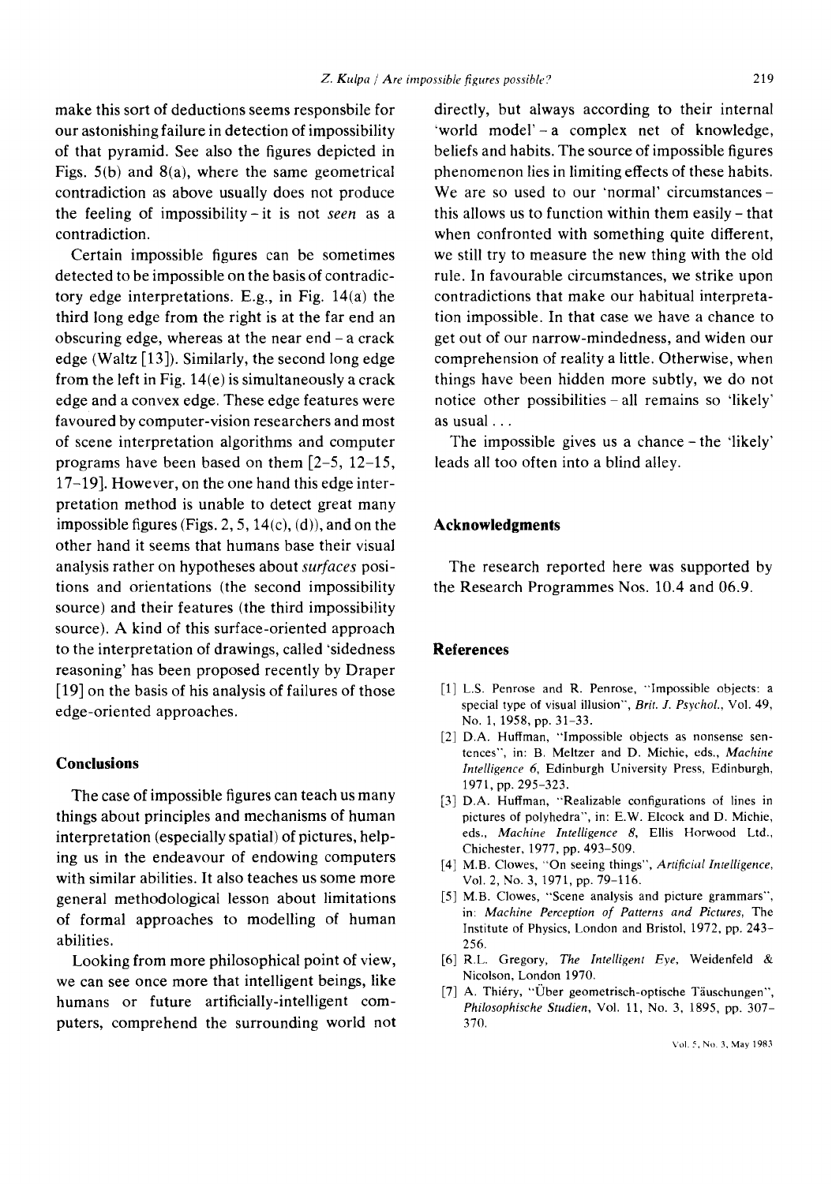make this sort of deductions seems responsbile for our astonishing failure in detection of impossibility of that pyramid. See also the figures depicted in Figs. 5(b) and 8(a), where the same geometrical contradiction as above usually does not produce the feeling of impossibility-it is not *seen* as a contradiction.

Certain impossible figures can be sometimes detected to be impossible on the basis of contradictory edge interpretations. E.g., in Fig. 14(a) the third long edge from the right is at the far end an obscuring edge, whereas at the near end  $-$  a crack edge (Waltz [13]). Similarly, the second long edge from the left in Fig.  $14(e)$  is simultaneously a crack edge and a convex edge. These edge features were favoured by computer-vision researchers and most of scene interpretation algorithms and computer programs have been based on them [2-5, 12-15, 17-19]. However, on the one hand this edge interpretation method is unable to detect great many impossible figures (Figs. 2, 5,  $14(c)$ , (d)), and on the other hand it seems that humans base their visual analysis rather on hypotheses about *surfaces* positions and orientations (the second impossibility source) and their features (the third impossibility source). A kind of this surface-oriented approach to the interpretation of drawings, called 'sidedness **References**  reasoning' has been proposed recently by Draper  $[19]$  on the basis of his analysis of failures of those edge-oriented approaches.

#### **Conclusions**

The case of impossible figures can teach us many things about principles and mechanisms of human interpretation (especially spatial) of pictures, helping us in the endeavour of endowing computers with similar abilities. It also teaches us some more general methodological lesson about limitations of formal approaches to modelling of human abilities.

Looking from more philosophical point of view, we can see once more that intelligent beings, like humans or future artificially-intelligent computers, comprehend the surrounding world not directly, but always according to their internal 'world model'-a complex net of knowledge, beliefs and habits. The source of impossible figures phenomenon lies in limiting effects of these habits. We are so used to our 'normal' circumstances $$ this allows us to function within them easily - that when confronted with something quite different, we still try to measure the new thing with the old rule. In favourable circumstances, we strike upon contradictions that make our habitual interpretation impossible. In that case we have a chance to get out of our narrow-mindedness, and widen our comprehension of reality a little. Otherwise, when things have been hidden more subtly, we do not notice other possibilities-all remains so 'likely' as usual...

The impossible gives us a chance-the 'likely' leads all too often into a blind alley.

#### **Acknowledgments**

The research reported here was supported by the Research Programmes Nos. 10.4 and 06.9.

- [1] L.S. Penrose and R. Penrose, "Impossible objects: a special type of visual illusion", *Brit. J. Psychol.,* Vol. 49, No. 1, 1958, pp. 31-33.
- [2] D.A. Huffman, "Impossible objects as nonsense sentences", in: B. Meltzer and D. Michie, eds., *Machine Intelligence 6,* Edinburgh University Press, Edinburgh, 1971, pp. 295-323.
- [3] D.A. Huffman, "Realizable configurations of lines in pictures of polyhedra", in: E.W. Elcock and D. Michie, eds., *Machine Intelligence 8,* Ellis Horwood Ltd., Chichester, 1977, pp. 493-509.
- [4] M.B. Clowes, "On seeing things", *Artificial Intelligence,*  Vol. 2, No. 3, 1971, pp. 79-116.
- [5] M.B. Clowes, "Scene analysis and picture grammars", in: *Machine Perception of Patterns and Pictures,* The Institute of Physics, London and Bristol, 1972, pp. 243- 256.
- [6] R.L. Gregory, *The Intelligent Eye,* Weidenfeld & Nicolson, London 1970.
- [7] A. Thiéry, "Über geometrisch-optische Täuschungen", *Philosophische Studien,* Vol. 11, No. 3, 1895, pp. 307- 370.